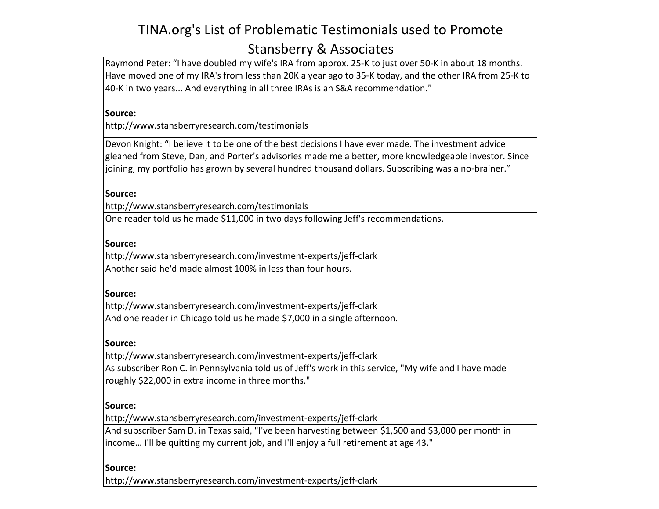# TINA.org's List of Problematic Testimonials used to Promote Stansberry & Associates

Raymond Peter: "I have doubled my wife's IRA from approx. 25-K to just over 50-K in about 18 months. Have moved one of my IRA's from less than 20K a year ago to 35-K today, and the other IRA from 25-K to 40-K in two years... And everything in all three IRAs is an S&A recommendation."

### **Source:**

http://www.stansberryresearch.com/testimonials

Devon Knight: "I believe it to be one of the best decisions I have ever made. The investment advice gleaned from Steve, Dan, and Porter's advisories made me a better, more knowledgeable investor. Since joining, my portfolio has grown by several hundred thousand dollars. Subscribing was a no-brainer."

**Source:** 

http://www.stansberryresearch.com/testimonials

One reader told us he made \$11,000 in two days following Jeff's recommendations.

### **Source:**

http://www.stansberryresearch.com/investment-experts/jeff-clark Another said he'd made almost 100% in less than four hours.

### **Source:**

http://www.stansberryresearch.com/investment-experts/jeff-clark

And one reader in Chicago told us he made \$7,000 in a single afternoon.

# **Source:**

http://www.stansberryresearch.com/investment-experts/jeff-clark

As subscriber Ron C. in Pennsylvania told us of Jeff's work in this service, "My wife and I have made roughly \$22,000 in extra income in three months."

# **Source:**

http://www.stansberryresearch.com/investment-experts/jeff-clark

And subscriber Sam D. in Texas said, "I've been harvesting between \$1,500 and \$3,000 per month in income... I'll be quitting my current job, and I'll enjoy a full retirement at age 43."

# **Source:**

http://www.stansberryresearch.com/investment-experts/jeff-clark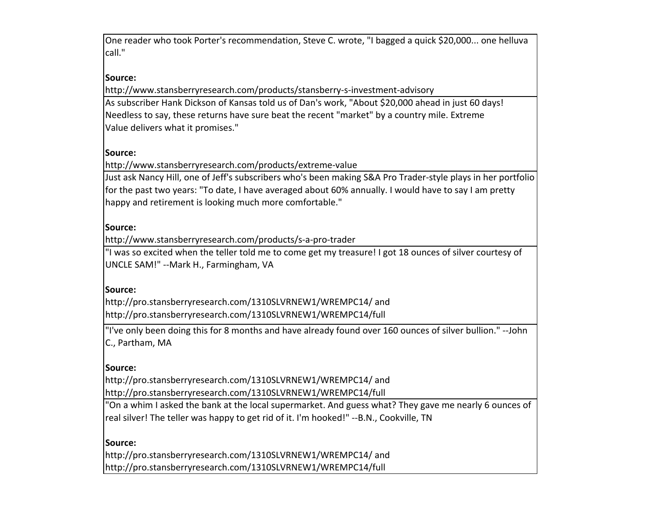One reader who took Porter's recommendation, Steve C. wrote, "I bagged a quick \$20,000... one helluva call."

# **Source:**

http://www.stansberryresearch.com/products/stansberry-s-investment-advisory As subscriber Hank Dickson of Kansas told us of Dan's work, "About \$20,000 ahead in just 60 days! Needless to say, these returns have sure beat the recent "market" by a country mile. Extreme Value delivers what it promises."

### **Source:**

http://www.stansberryresearch.com/products/extreme-value

Just ask Nancy Hill, one of Jeff's subscribers who's been making S&A Pro Trader-style plays in her portfolio for the past two years: "To date, I have averaged about 60% annually. I would have to say I am pretty happy and retirement is looking much more comfortable."

### **Source:**

http://www.stansberryresearch.com/products/s-a-pro-trader

"I was so excited when the teller told me to come get my treasure! I got 18 ounces of silver courtesy of UNCLE SAM!" --Mark H., Farmingham, VA

#### **Source:**

http://pro.stansberryresearch.com/1310SLVRNEW1/WREMPC14/ and http://pro.stansberryresearch.com/1310SLVRNEW1/WREMPC14/full

"I've only been doing this for 8 months and have already found over 160 ounces of silver bullion." --John C., Partham, MA

### **Source:**

http://pro.stansberryresearch.com/1310SLVRNEW1/WREMPC14/ and http://pro.stansberryresearch.com/1310SLVRNEW1/WREMPC14/full

"On a whim I asked the bank at the local supermarket. And guess what? They gave me nearly 6 ounces of real silver! The teller was happy to get rid of it. I'm hooked!" --B.N., Cookville, TN

### **Source:**

http://pro.stansberryresearch.com/1310SLVRNEW1/WREMPC14/ and http://pro.stansberryresearch.com/1310SLVRNEW1/WREMPC14/full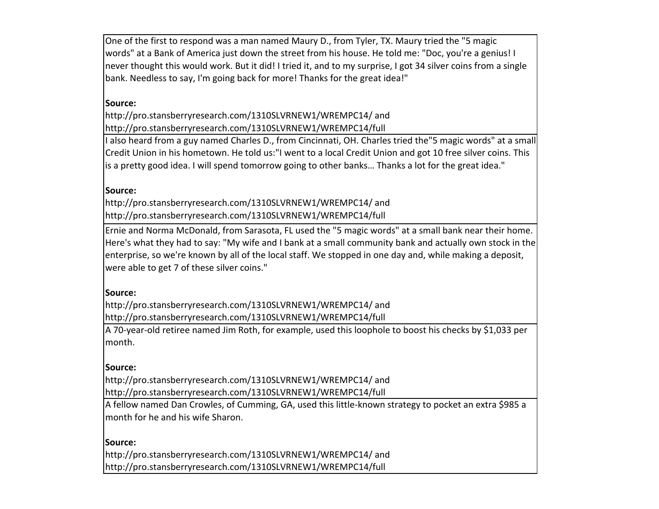One of the first to respond was a man named Maury D., from Tyler, TX. Maury tried the "5 magic words" at a Bank of America just down the street from his house. He told me: "Doc, you're a genius! I never thought this would work. But it did! I tried it, and to my surprise, I got 34 silver coins from a single bank. Needless to say, I'm going back for more! Thanks for the great idea!"

# **Source:**

http://pro.stansberryresearch.com/1310SLVRNEW1/WREMPC14/ and http://pro.stansberryresearch.com/1310SLVRNEW1/WREMPC14/full

I also heard from a guy named Charles D., from Cincinnati, OH. Charles tried the"5 magic words" at a small Credit Union in his hometown. He told us:"I went to a local Credit Union and got 10 free silver coins. This is a pretty good idea. I will spend tomorrow going to other banks... Thanks a lot for the great idea."

### **Source:**

http://pro.stansberryresearch.com/1310SLVRNEW1/WREMPC14/ and http://pro.stansberryresearch.com/1310SLVRNEW1/WREMPC14/full

Ernie and Norma McDonald, from Sarasota, FL used the "5 magic words" at a small bank near their home. Here's what they had to say: "My wife and I bank at a small community bank and actually own stock in the enterprise, so we're known by all of the local staff. We stopped in one day and, while making a deposit, were able to get 7 of these silver coins."

#### **Source:**

http://pro.stansberryresearch.com/1310SLVRNEW1/WREMPC14/ and http://pro.stansberryresearch.com/1310SLVRNEW1/WREMPC14/full

A 70-year-old retiree named Jim Roth, for example, used this loophole to boost his checks by \$1,033 per month. 

#### **Source:**

http://pro.stansberryresearch.com/1310SLVRNEW1/WREMPC14/ and http://pro.stansberryresearch.com/1310SLVRNEW1/WREMPC14/full

A fellow named Dan Crowles, of Cumming, GA, used this little-known strategy to pocket an extra \$985 a month for he and his wife Sharon.

#### **Source:**

http://pro.stansberryresearch.com/1310SLVRNEW1/WREMPC14/ and http://pro.stansberryresearch.com/1310SLVRNEW1/WREMPC14/full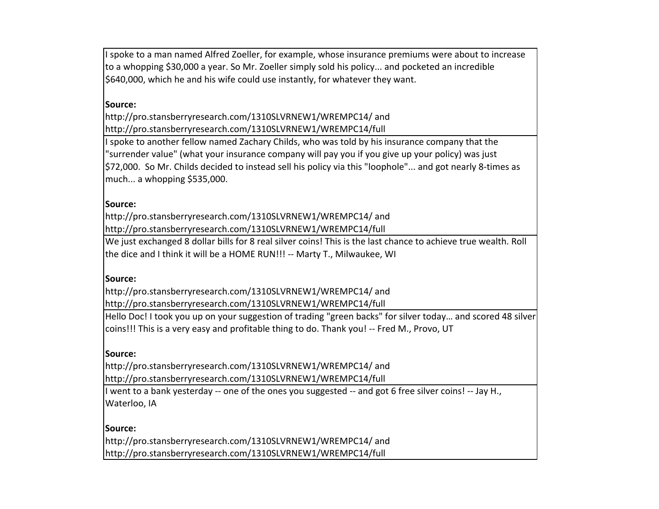I spoke to a man named Alfred Zoeller, for example, whose insurance premiums were about to increase to a whopping \$30,000 a year. So Mr. Zoeller simply sold his policy... and pocketed an incredible \$640,000, which he and his wife could use instantly, for whatever they want.

### **Source:**

http://pro.stansberryresearch.com/1310SLVRNEW1/WREMPC14/ and http://pro.stansberryresearch.com/1310SLVRNEW1/WREMPC14/full

I spoke to another fellow named Zachary Childs, who was told by his insurance company that the "surrender value" (what your insurance company will pay you if you give up your policy) was just \$72,000. So Mr. Childs decided to instead sell his policy via this "loophole"... and got nearly 8-times as much... a whopping \$535,000.

### **Source:**

http://pro.stansberryresearch.com/1310SLVRNEW1/WREMPC14/ and http://pro.stansberryresearch.com/1310SLVRNEW1/WREMPC14/full

We just exchanged 8 dollar bills for 8 real silver coins! This is the last chance to achieve true wealth. Roll the dice and I think it will be a HOME RUN!!! -- Marty T., Milwaukee, WI

### **Source:**

http://pro.stansberryresearch.com/1310SLVRNEW1/WREMPC14/ and http://pro.stansberryresearch.com/1310SLVRNEW1/WREMPC14/full

Hello Doc! I took you up on your suggestion of trading "green backs" for silver today... and scored 48 silver coins!!! This is a very easy and profitable thing to do. Thank you! -- Fred M., Provo, UT

### **Source:**

http://pro.stansberryresearch.com/1310SLVRNEW1/WREMPC14/ and http://pro.stansberryresearch.com/1310SLVRNEW1/WREMPC14/full

I went to a bank yesterday -- one of the ones you suggested -- and got 6 free silver coins! -- Jay H., Waterloo, IA

### **Source:**

http://pro.stansberryresearch.com/1310SLVRNEW1/WREMPC14/ and http://pro.stansberryresearch.com/1310SLVRNEW1/WREMPC14/full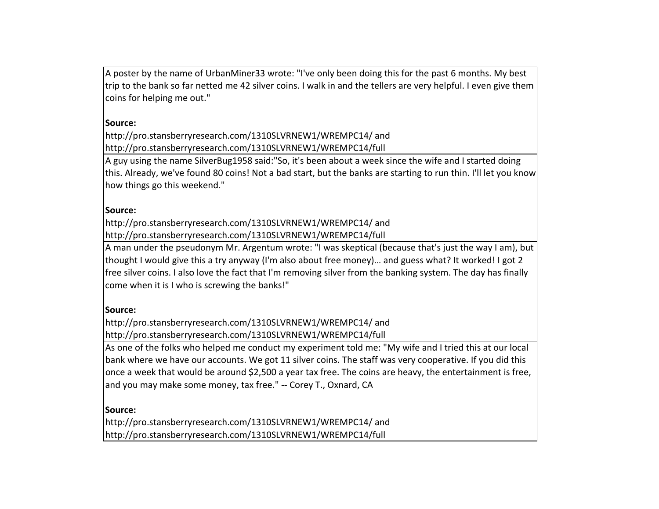A poster by the name of UrbanMiner33 wrote: "I've only been doing this for the past 6 months. My best trip to the bank so far netted me 42 silver coins. I walk in and the tellers are very helpful. I even give them coins for helping me out."

### **Source:**

http://pro.stansberryresearch.com/1310SLVRNEW1/WREMPC14/ and http://pro.stansberryresearch.com/1310SLVRNEW1/WREMPC14/full

A guy using the name SilverBug1958 said:"So, it's been about a week since the wife and I started doing this. Already, we've found 80 coins! Not a bad start, but the banks are starting to run thin. I'll let you know how things go this weekend."

# **Source:**

http://pro.stansberryresearch.com/1310SLVRNEW1/WREMPC14/ and http://pro.stansberryresearch.com/1310SLVRNEW1/WREMPC14/full

A man under the pseudonym Mr. Argentum wrote: "I was skeptical (because that's just the way I am), but thought I would give this a try anyway (I'm also about free money)... and guess what? It worked! I got 2 free silver coins. I also love the fact that I'm removing silver from the banking system. The day has finally come when it is I who is screwing the banks!"

### **Source:**

http://pro.stansberryresearch.com/1310SLVRNEW1/WREMPC14/ and http://pro.stansberryresearch.com/1310SLVRNEW1/WREMPC14/full

As one of the folks who helped me conduct my experiment told me: "My wife and I tried this at our local bank where we have our accounts. We got 11 silver coins. The staff was very cooperative. If you did this once a week that would be around \$2,500 a year tax free. The coins are heavy, the entertainment is free, and you may make some money, tax free." -- Corey T., Oxnard, CA

# **Source:**

http://pro.stansberryresearch.com/1310SLVRNEW1/WREMPC14/ and http://pro.stansberryresearch.com/1310SLVRNEW1/WREMPC14/full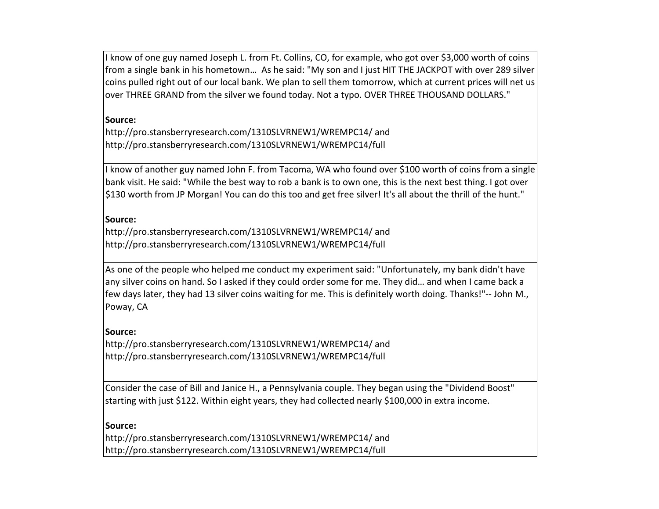I know of one guy named Joseph L. from Ft. Collins, CO, for example, who got over \$3,000 worth of coins from a single bank in his hometown... As he said: "My son and I just HIT THE JACKPOT with over 289 silver coins pulled right out of our local bank. We plan to sell them tomorrow, which at current prices will net us over THREE GRAND from the silver we found today. Not a typo. OVER THREE THOUSAND DOLLARS."

# **Source:**

http://pro.stansberryresearch.com/1310SLVRNEW1/WREMPC14/ and http://pro.stansberryresearch.com/1310SLVRNEW1/WREMPC14/full

I know of another guy named John F. from Tacoma, WA who found over \$100 worth of coins from a single bank visit. He said: "While the best way to rob a bank is to own one, this is the next best thing. I got over \$130 worth from JP Morgan! You can do this too and get free silver! It's all about the thrill of the hunt."

### **Source:**

http://pro.stansberryresearch.com/1310SLVRNEW1/WREMPC14/ and http://pro.stansberryresearch.com/1310SLVRNEW1/WREMPC14/full

As one of the people who helped me conduct my experiment said: "Unfortunately, my bank didn't have any silver coins on hand. So I asked if they could order some for me. They did... and when I came back a few days later, they had 13 silver coins waiting for me. This is definitely worth doing. Thanks!"-- John M., Poway, CA

### **Source:**

http://pro.stansberryresearch.com/1310SLVRNEW1/WREMPC14/ and http://pro.stansberryresearch.com/1310SLVRNEW1/WREMPC14/full

Consider the case of Bill and Janice H., a Pennsylvania couple. They began using the "Dividend Boost" starting with just \$122. Within eight years, they had collected nearly \$100,000 in extra income.

# **Source:**

http://pro.stansberryresearch.com/1310SLVRNEW1/WREMPC14/ and http://pro.stansberryresearch.com/1310SLVRNEW1/WREMPC14/full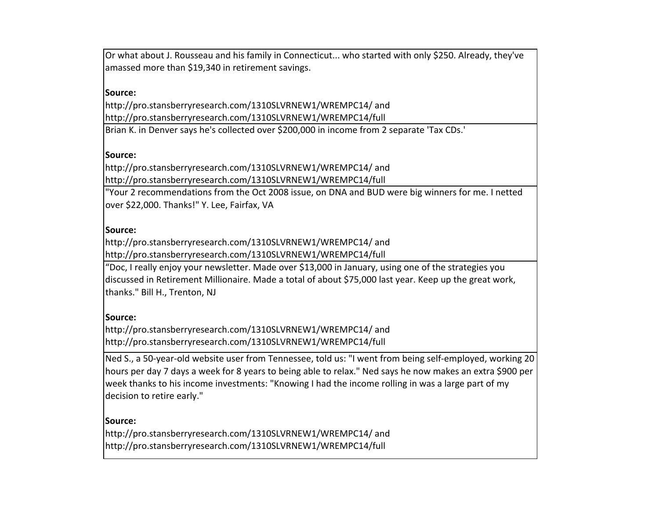Or what about J. Rousseau and his family in Connecticut... who started with only \$250. Already, they've amassed more than \$19,340 in retirement savings.

### **Source:**

http://pro.stansberryresearch.com/1310SLVRNEW1/WREMPC14/ and http://pro.stansberryresearch.com/1310SLVRNEW1/WREMPC14/full

Brian K. in Denver says he's collected over \$200,000 in income from 2 separate 'Tax CDs.'

### **Source:**

http://pro.stansberryresearch.com/1310SLVRNEW1/WREMPC14/ and http://pro.stansberryresearch.com/1310SLVRNEW1/WREMPC14/full

"Your 2 recommendations from the Oct 2008 issue, on DNA and BUD were big winners for me. I netted over \$22,000. Thanks!" Y. Lee, Fairfax, VA

### **Source:**

http://pro.stansberryresearch.com/1310SLVRNEW1/WREMPC14/ and http://pro.stansberryresearch.com/1310SLVRNEW1/WREMPC14/full

"Doc, I really enjoy your newsletter. Made over \$13,000 in January, using one of the strategies vou discussed in Retirement Millionaire. Made a total of about \$75,000 last year. Keep up the great work, thanks." Bill H., Trenton, NJ

# **Source:**

http://pro.stansberryresearch.com/1310SLVRNEW1/WREMPC14/ and http://pro.stansberryresearch.com/1310SLVRNEW1/WREMPC14/full

Ned S., a 50-year-old website user from Tennessee, told us: "I went from being self-employed, working 20 hours per day 7 days a week for 8 years to being able to relax." Ned says he now makes an extra \$900 per week thanks to his income investments: "Knowing I had the income rolling in was a large part of my decision to retire early."

### **Source:**

http://pro.stansberryresearch.com/1310SLVRNEW1/WREMPC14/ and http://pro.stansberryresearch.com/1310SLVRNEW1/WREMPC14/full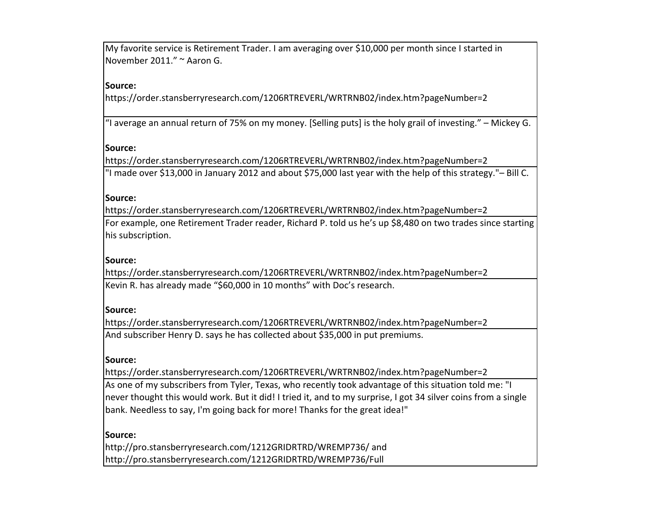My favorite service is Retirement Trader. I am averaging over \$10,000 per month since I started in November 2011." ~ Aaron G.

# **Source:**

https://order.stansberryresearch.com/1206RTREVERL/WRTRNB02/index.htm?pageNumber=2

"I average an annual return of 75% on my money. [Selling puts] is the holy grail of investing." – Mickey G.

### **Source:**

https://order.stansberryresearch.com/1206RTREVERL/WRTRNB02/index.htm?pageNumber=2 "I made over \$13,000 in January 2012 and about \$75,000 last year with the help of this strategy."- Bill C.

### **Source:**

https://order.stansberryresearch.com/1206RTREVERL/WRTRNB02/index.htm?pageNumber=2 For example, one Retirement Trader reader, Richard P. told us he's up \$8,480 on two trades since starting his subscription.

### **Source:**

https://order.stansberryresearch.com/1206RTREVERL/WRTRNB02/index.htm?pageNumber=2 Kevin R. has already made "\$60,000 in 10 months" with Doc's research.

### **Source:**

https://order.stansberryresearch.com/1206RTREVERL/WRTRNB02/index.htm?pageNumber=2 And subscriber Henry D. says he has collected about \$35,000 in put premiums.

### **Source:**

https://order.stansberryresearch.com/1206RTREVERL/WRTRNB02/index.htm?pageNumber=2 As one of my subscribers from Tyler, Texas, who recently took advantage of this situation told me: "I never thought this would work. But it did! I tried it, and to my surprise, I got 34 silver coins from a single bank. Needless to say, I'm going back for more! Thanks for the great idea!"

# **Source:**

http://pro.stansberryresearch.com/1212GRIDRTRD/WREMP736/ and http://pro.stansberryresearch.com/1212GRIDRTRD/WREMP736/Full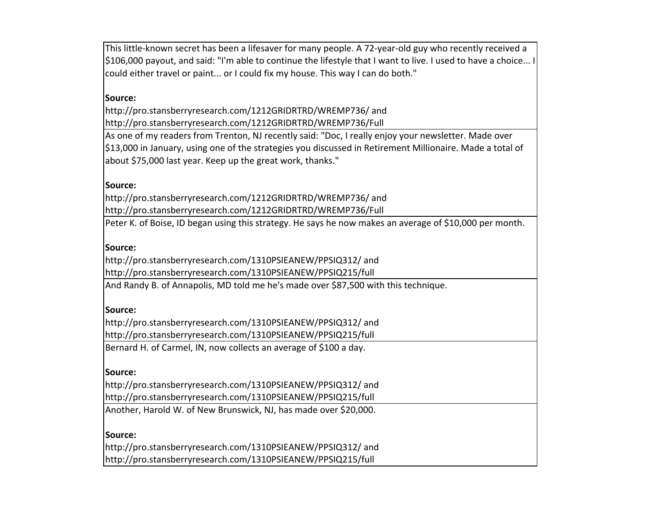This little-known secret has been a lifesaver for many people. A 72-year-old guy who recently received a \$106,000 payout, and said: "I'm able to continue the lifestyle that I want to live. I used to have a choice... I could either travel or paint... or I could fix my house. This way I can do both."

### **Source:**

http://pro.stansberryresearch.com/1212GRIDRTRD/WREMP736/ and http://pro.stansberryresearch.com/1212GRIDRTRD/WREMP736/Full

As one of my readers from Trenton, NJ recently said: "Doc, I really enjoy your newsletter. Made over \$13,000 in January, using one of the strategies you discussed in Retirement Millionaire. Made a total of about \$75,000 last year. Keep up the great work, thanks."

#### **Source:**

http://pro.stansberryresearch.com/1212GRIDRTRD/WREMP736/ and http://pro.stansberryresearch.com/1212GRIDRTRD/WREMP736/Full

Peter K. of Boise, ID began using this strategy. He says he now makes an average of \$10,000 per month.

#### **Source:**

http://pro.stansberryresearch.com/1310PSIEANEW/PPSIQ312/ and http://pro.stansberryresearch.com/1310PSIEANEW/PPSIQ215/full

And Randy B. of Annapolis, MD told me he's made over \$87,500 with this technique.

#### **Source:**

http://pro.stansberryresearch.com/1310PSIEANEW/PPSIQ312/ and http://pro.stansberryresearch.com/1310PSIEANEW/PPSIQ215/full

Bernard H. of Carmel, IN, now collects an average of \$100 a day.

#### **Source:**

http://pro.stansberryresearch.com/1310PSIEANEW/PPSIQ312/ and http://pro.stansberryresearch.com/1310PSIEANEW/PPSIQ215/full

Another, Harold W. of New Brunswick, NJ, has made over \$20,000.

#### **Source:**

http://pro.stansberryresearch.com/1310PSIEANEW/PPSIQ312/ and http://pro.stansberryresearch.com/1310PSIEANEW/PPSIQ215/full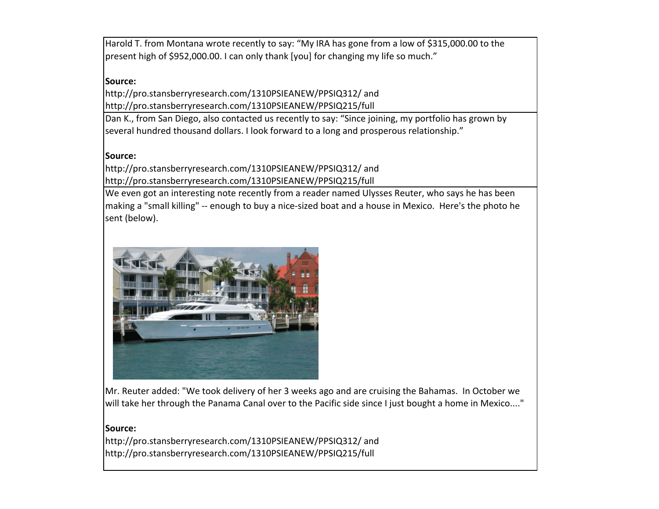Harold T. from Montana wrote recently to say: "My IRA has gone from a low of \$315,000.00 to the present high of \$952,000.00. I can only thank [you] for changing my life so much."

### **Source:**

http://pro.stansberryresearch.com/1310PSIEANEW/PPSIQ312/ and http://pro.stansberryresearch.com/1310PSIEANEW/PPSIQ215/full

Dan K., from San Diego, also contacted us recently to say: "Since joining, my portfolio has grown by several hundred thousand dollars. I look forward to a long and prosperous relationship."

### **Source:**

http://pro.stansberryresearch.com/1310PSIEANEW/PPSIQ312/ and http://pro.stansberryresearch.com/1310PSIEANEW/PPSIQ215/full

We even got an interesting note recently from a reader named Ulysses Reuter, who says he has been making a "small killing" -- enough to buy a nice-sized boat and a house in Mexico. Here's the photo he sent (below).



Mr. Reuter added: "We took delivery of her 3 weeks ago and are cruising the Bahamas. In October we will take her through the Panama Canal over to the Pacific side since I just bought a home in Mexico...."

#### **Source:**

http://pro.stansberryresearch.com/1310PSIEANEW/PPSIQ312/ and http://pro.stansberryresearch.com/1310PSIEANEW/PPSIQ215/full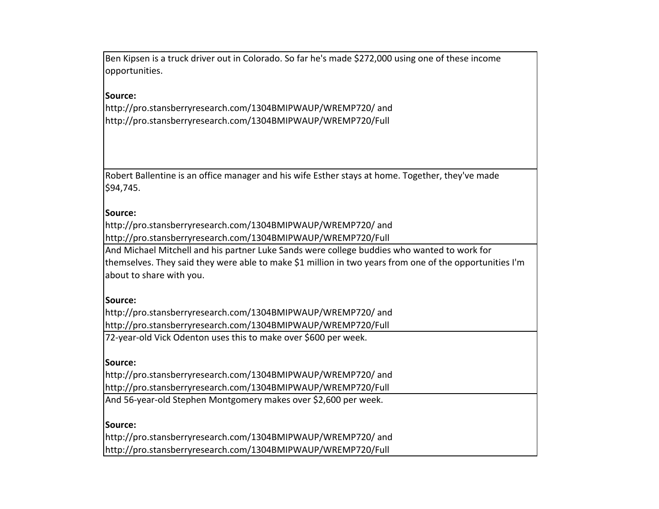Ben Kipsen is a truck driver out in Colorado. So far he's made \$272,000 using one of these income opportunities.

### **Source:**

http://pro.stansberryresearch.com/1304BMIPWAUP/WREMP720/ and http://pro.stansberryresearch.com/1304BMIPWAUP/WREMP720/Full

Robert Ballentine is an office manager and his wife Esther stays at home. Together, they've made \$94,745.

#### **Source:**

http://pro.stansberryresearch.com/1304BMIPWAUP/WREMP720/ and http://pro.stansberryresearch.com/1304BMIPWAUP/WREMP720/Full

And Michael Mitchell and his partner Luke Sands were college buddies who wanted to work for themselves. They said they were able to make \$1 million in two years from one of the opportunities I'm about to share with you.

#### **Source:**

http://pro.stansberryresearch.com/1304BMIPWAUP/WREMP720/ and http://pro.stansberryresearch.com/1304BMIPWAUP/WREMP720/Full

72-year-old Vick Odenton uses this to make over \$600 per week.

#### **Source:**

http://pro.stansberryresearch.com/1304BMIPWAUP/WREMP720/ and http://pro.stansberryresearch.com/1304BMIPWAUP/WREMP720/Full

And 56-year-old Stephen Montgomery makes over \$2,600 per week.

#### **Source:**

http://pro.stansberryresearch.com/1304BMIPWAUP/WREMP720/ and http://pro.stansberryresearch.com/1304BMIPWAUP/WREMP720/Full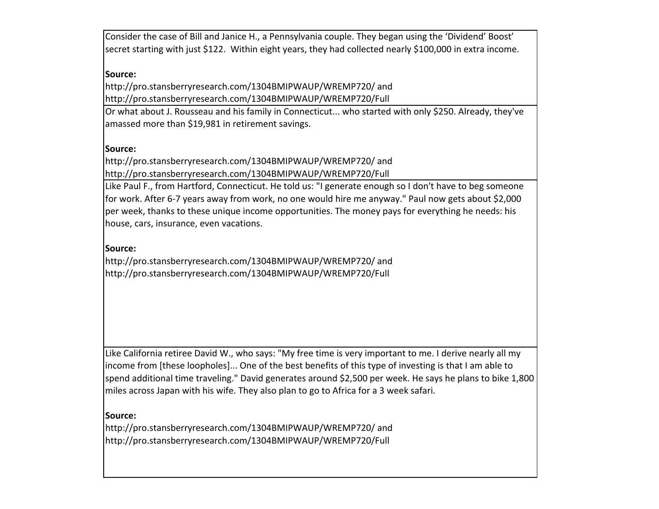Consider the case of Bill and Janice H., a Pennsylvania couple. They began using the 'Dividend' Boost' secret starting with just \$122. Within eight years, they had collected nearly \$100,000 in extra income.

### **Source:**

http://pro.stansberryresearch.com/1304BMIPWAUP/WREMP720/ and http://pro.stansberryresearch.com/1304BMIPWAUP/WREMP720/Full

Or what about J. Rousseau and his family in Connecticut... who started with only \$250. Already, they've amassed more than \$19,981 in retirement savings.

### **Source:**

http://pro.stansberryresearch.com/1304BMIPWAUP/WREMP720/ and http://pro.stansberryresearch.com/1304BMIPWAUP/WREMP720/Full

Like Paul F., from Hartford, Connecticut. He told us: "I generate enough so I don't have to beg someone for work. After 6-7 years away from work, no one would hire me anyway." Paul now gets about \$2,000 per week, thanks to these unique income opportunities. The money pays for everything he needs: his house, cars, insurance, even vacations.

#### **Source:**

http://pro.stansberryresearch.com/1304BMIPWAUP/WREMP720/ and http://pro.stansberryresearch.com/1304BMIPWAUP/WREMP720/Full

Like California retiree David W., who says: "My free time is very important to me. I derive nearly all my income from [these loopholes]... One of the best benefits of this type of investing is that I am able to spend additional time traveling." David generates around \$2,500 per week. He says he plans to bike 1,800 miles across Japan with his wife. They also plan to go to Africa for a 3 week safari.

#### **Source:**

http://pro.stansberryresearch.com/1304BMIPWAUP/WREMP720/ and http://pro.stansberryresearch.com/1304BMIPWAUP/WREMP720/Full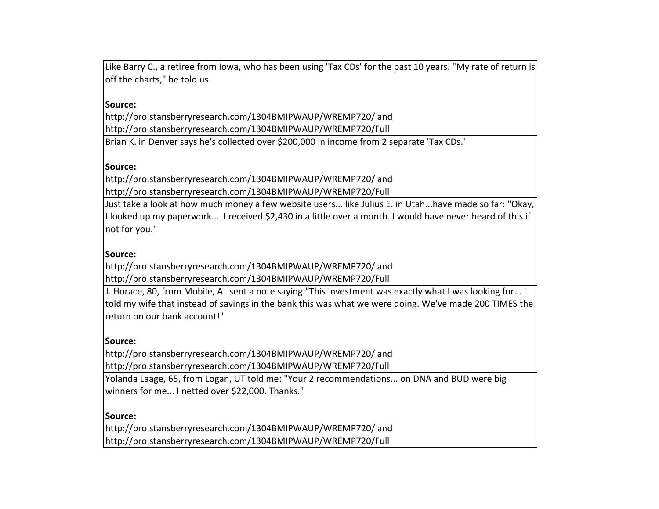Like Barry C., a retiree from Iowa, who has been using 'Tax CDs' for the past 10 years. "My rate of return is off the charts," he told us.

### **Source:**

http://pro.stansberryresearch.com/1304BMIPWAUP/WREMP720/ and http://pro.stansberryresearch.com/1304BMIPWAUP/WREMP720/Full

Brian K. in Denver says he's collected over \$200,000 in income from 2 separate 'Tax CDs.'

### **Source:**

http://pro.stansberryresearch.com/1304BMIPWAUP/WREMP720/ and http://pro.stansberryresearch.com/1304BMIPWAUP/WREMP720/Full

Just take a look at how much money a few website users... like Julius E. in Utah...have made so far: "Okay, I looked up my paperwork... I received \$2,430 in a little over a month. I would have never heard of this if not for you."

# **Source:**

http://pro.stansberryresearch.com/1304BMIPWAUP/WREMP720/ and http://pro.stansberryresearch.com/1304BMIPWAUP/WREMP720/Full

I. Horace, 80, from Mobile, AL sent a note saying:"This investment was exactly what I was looking for... I told my wife that instead of savings in the bank this was what we were doing. We've made 200 TIMES the return on our bank account!"

### **Source:**

http://pro.stansberryresearch.com/1304BMIPWAUP/WREMP720/ and http://pro.stansberryresearch.com/1304BMIPWAUP/WREMP720/Full

Yolanda Laage, 65, from Logan, UT told me: "Your 2 recommendations... on DNA and BUD were big winners for me... I netted over \$22,000. Thanks."

#### **Source:**

http://pro.stansberryresearch.com/1304BMIPWAUP/WREMP720/ and http://pro.stansberryresearch.com/1304BMIPWAUP/WREMP720/Full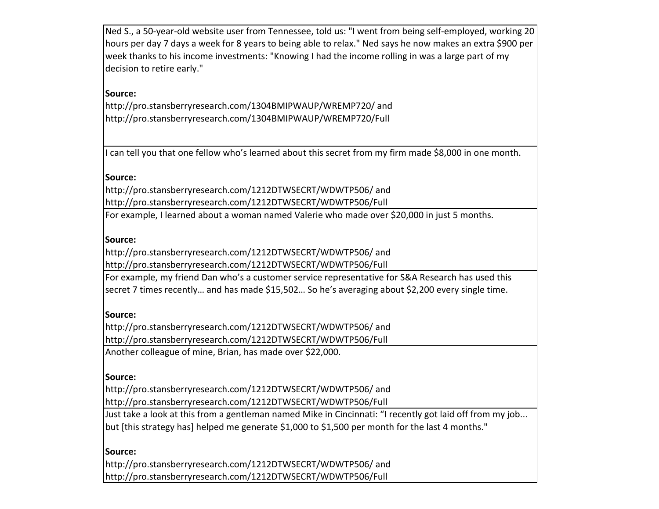Ned S., a 50-year-old website user from Tennessee, told us: "I went from being self-employed, working 20 hours per day 7 days a week for 8 years to being able to relax." Ned says he now makes an extra \$900 per week thanks to his income investments: "Knowing I had the income rolling in was a large part of my decision to retire early."

# **Source:**

http://pro.stansberryresearch.com/1304BMIPWAUP/WREMP720/ and http://pro.stansberryresearch.com/1304BMIPWAUP/WREMP720/Full

I can tell you that one fellow who's learned about this secret from my firm made \$8,000 in one month.

### **Source:**

http://pro.stansberryresearch.com/1212DTWSECRT/WDWTP506/ and http://pro.stansberryresearch.com/1212DTWSECRT/WDWTP506/Full

For example, I learned about a woman named Valerie who made over \$20,000 in just 5 months.

#### **Source:**

http://pro.stansberryresearch.com/1212DTWSECRT/WDWTP506/ and http://pro.stansberryresearch.com/1212DTWSECRT/WDWTP506/Full

For example, my friend Dan who's a customer service representative for S&A Research has used this secret 7 times recently... and has made \$15,502... So he's averaging about \$2,200 every single time.

#### **Source:**

http://pro.stansberryresearch.com/1212DTWSECRT/WDWTP506/ and http://pro.stansberryresearch.com/1212DTWSECRT/WDWTP506/Full

Another colleague of mine, Brian, has made over \$22,000.

#### **Source:**

http://pro.stansberryresearch.com/1212DTWSECRT/WDWTP506/ and http://pro.stansberryresearch.com/1212DTWSECRT/WDWTP506/Full

Just take a look at this from a gentleman named Mike in Cincinnati: "I recently got laid off from my job... but [this strategy has] helped me generate \$1,000 to \$1,500 per month for the last 4 months."

#### **Source:**

http://pro.stansberryresearch.com/1212DTWSECRT/WDWTP506/ and http://pro.stansberryresearch.com/1212DTWSECRT/WDWTP506/Full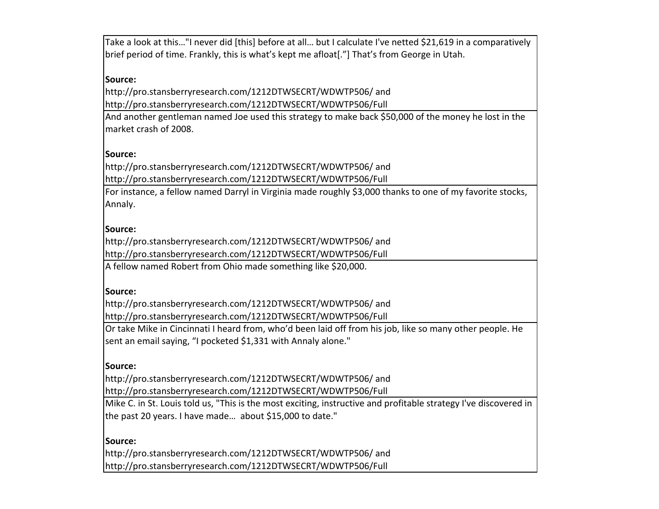Take a look at this..."I never did [this] before at all... but I calculate I've netted \$21,619 in a comparatively brief period of time. Frankly, this is what's kept me afloat[."] That's from George in Utah.

### **Source:**

http://pro.stansberryresearch.com/1212DTWSECRT/WDWTP506/ and http://pro.stansberryresearch.com/1212DTWSECRT/WDWTP506/Full

And another gentleman named Joe used this strategy to make back \$50,000 of the money he lost in the market crash of 2008.

#### **Source:**

http://pro.stansberryresearch.com/1212DTWSECRT/WDWTP506/ and http://pro.stansberryresearch.com/1212DTWSECRT/WDWTP506/Full

For instance, a fellow named Darryl in Virginia made roughly \$3,000 thanks to one of my favorite stocks, Annaly. 

#### **Source:**

http://pro.stansberryresearch.com/1212DTWSECRT/WDWTP506/ and http://pro.stansberryresearch.com/1212DTWSECRT/WDWTP506/Full

A fellow named Robert from Ohio made something like \$20,000.

#### **Source:**

http://pro.stansberryresearch.com/1212DTWSECRT/WDWTP506/ and http://pro.stansberryresearch.com/1212DTWSECRT/WDWTP506/Full

Or take Mike in Cincinnati I heard from, who'd been laid off from his job, like so many other people. He sent an email saying, "I pocketed \$1,331 with Annaly alone."

#### **Source:**

http://pro.stansberryresearch.com/1212DTWSECRT/WDWTP506/ and http://pro.stansberryresearch.com/1212DTWSECRT/WDWTP506/Full

Mike C. in St. Louis told us, "This is the most exciting, instructive and profitable strategy I've discovered in the past 20 years. I have made... about \$15,000 to date."

# **Source:** http://pro.stansberryresearch.com/1212DTWSECRT/WDWTP506/ and

http://pro.stansberryresearch.com/1212DTWSECRT/WDWTP506/Full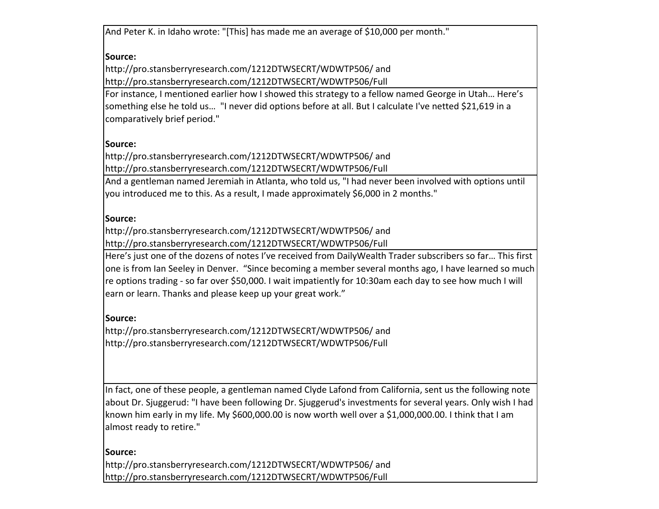And Peter K. in Idaho wrote: "[This] has made me an average of \$10,000 per month."

# **Source:**

http://pro.stansberryresearch.com/1212DTWSECRT/WDWTP506/ and http://pro.stansberryresearch.com/1212DTWSECRT/WDWTP506/Full

For instance, I mentioned earlier how I showed this strategy to a fellow named George in Utah... Here's something else he told us... "I never did options before at all. But I calculate I've netted \$21,619 in a comparatively brief period."

# **Source:**

http://pro.stansberryresearch.com/1212DTWSECRT/WDWTP506/ and http://pro.stansberryresearch.com/1212DTWSECRT/WDWTP506/Full

And a gentleman named Jeremiah in Atlanta, who told us, "I had never been involved with options until you introduced me to this. As a result, I made approximately \$6,000 in 2 months."

### **Source:**

http://pro.stansberryresearch.com/1212DTWSECRT/WDWTP506/ and 

http://pro.stansberryresearch.com/1212DTWSECRT/WDWTP506/Full

Here's just one of the dozens of notes I've received from DailyWealth Trader subscribers so far... This first one is from Ian Seeley in Denver. "Since becoming a member several months ago, I have learned so much re options trading - so far over \$50,000. I wait impatiently for 10:30am each day to see how much I will earn or learn. Thanks and please keep up your great work."

### **Source:**

http://pro.stansberryresearch.com/1212DTWSECRT/WDWTP506/ and http://pro.stansberryresearch.com/1212DTWSECRT/WDWTP506/Full

In fact, one of these people, a gentleman named Clyde Lafond from California, sent us the following note about Dr. Sjuggerud: "I have been following Dr. Sjuggerud's investments for several years. Only wish I had known him early in my life. My \$600,000.00 is now worth well over a \$1,000,000.00. I think that I am almost ready to retire."

**Source:** http://pro.stansberryresearch.com/1212DTWSECRT/WDWTP506/ and http://pro.stansberryresearch.com/1212DTWSECRT/WDWTP506/Full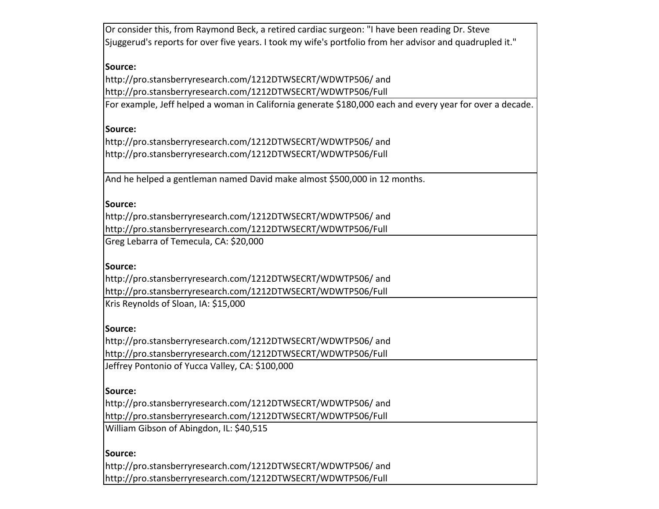| Or consider this, from Raymond Beck, a retired cardiac surgeon: "I have been reading Dr. Steve           |
|----------------------------------------------------------------------------------------------------------|
| ".Sjuggerud's reports for over five years. I took my wife's portfolio from her advisor and quadrupled it |
|                                                                                                          |
| Source:                                                                                                  |
| http://pro.stansberryresearch.com/1212DTWSECRT/WDWTP506/and                                              |
| http://pro.stansberryresearch.com/1212DTWSECRT/WDWTP506/Full                                             |
| For example, Jeff helped a woman in California generate \$180,000 each and every year for over a decade. |
| Source:                                                                                                  |
| http://pro.stansberryresearch.com/1212DTWSECRT/WDWTP506/and                                              |
| http://pro.stansberryresearch.com/1212DTWSECRT/WDWTP506/Full                                             |
|                                                                                                          |
| And he helped a gentleman named David make almost \$500,000 in 12 months.                                |
|                                                                                                          |
| Source:                                                                                                  |
| http://pro.stansberryresearch.com/1212DTWSECRT/WDWTP506/and                                              |
| http://pro.stansberryresearch.com/1212DTWSECRT/WDWTP506/Full                                             |
| Greg Lebarra of Temecula, CA: \$20,000                                                                   |
|                                                                                                          |
| Source:                                                                                                  |
| http://pro.stansberryresearch.com/1212DTWSECRT/WDWTP506/and                                              |
| http://pro.stansberryresearch.com/1212DTWSECRT/WDWTP506/Full                                             |
| Kris Reynolds of Sloan, IA: \$15,000                                                                     |
| Source:                                                                                                  |
| http://pro.stansberryresearch.com/1212DTWSECRT/WDWTP506/and                                              |
| http://pro.stansberryresearch.com/1212DTWSECRT/WDWTP506/Full                                             |
| Jeffrey Pontonio of Yucca Valley, CA: \$100,000                                                          |
|                                                                                                          |
| Source:                                                                                                  |
| http://pro.stansberryresearch.com/1212DTWSECRT/WDWTP506/and                                              |
| http://pro.stansberryresearch.com/1212DTWSECRT/WDWTP506/Full                                             |
| William Gibson of Abingdon, IL: \$40,515                                                                 |
|                                                                                                          |
| Source:                                                                                                  |
| http://pro.stansberryresearch.com/1212DTWSECRT/WDWTP506/and                                              |
| http://pro.stansberryresearch.com/1212DTWSECRT/WDWTP506/Full                                             |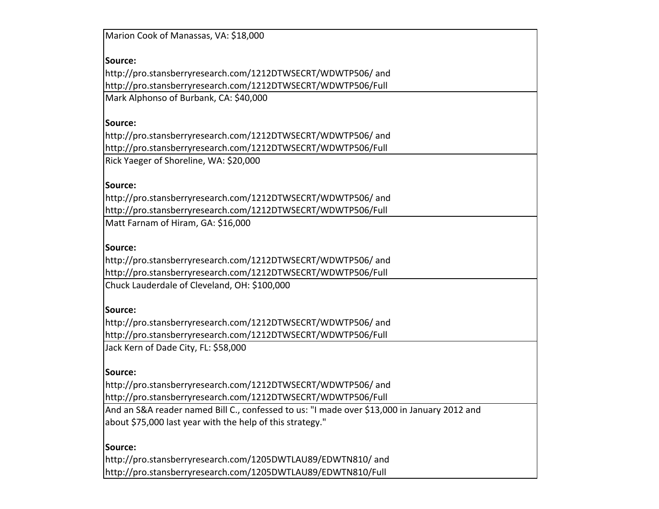| Marion Cook of Manassas, VA: \$18,000                                                       |
|---------------------------------------------------------------------------------------------|
| Source:                                                                                     |
| http://pro.stansberryresearch.com/1212DTWSECRT/WDWTP506/ and                                |
| http://pro.stansberryresearch.com/1212DTWSECRT/WDWTP506/Full                                |
| Mark Alphonso of Burbank, CA: \$40,000                                                      |
|                                                                                             |
| Source:                                                                                     |
| http://pro.stansberryresearch.com/1212DTWSECRT/WDWTP506/ and                                |
| http://pro.stansberryresearch.com/1212DTWSECRT/WDWTP506/Full                                |
| Rick Yaeger of Shoreline, WA: \$20,000                                                      |
|                                                                                             |
| Source:                                                                                     |
| http://pro.stansberryresearch.com/1212DTWSECRT/WDWTP506/ and                                |
| http://pro.stansberryresearch.com/1212DTWSECRT/WDWTP506/Full                                |
| Matt Farnam of Hiram, GA: \$16,000                                                          |
|                                                                                             |
| Source:                                                                                     |
| http://pro.stansberryresearch.com/1212DTWSECRT/WDWTP506/ and                                |
| http://pro.stansberryresearch.com/1212DTWSECRT/WDWTP506/Full                                |
| Chuck Lauderdale of Cleveland, OH: \$100,000                                                |
|                                                                                             |
| Source:                                                                                     |
| http://pro.stansberryresearch.com/1212DTWSECRT/WDWTP506/ and                                |
| http://pro.stansberryresearch.com/1212DTWSECRT/WDWTP506/Full                                |
| Jack Kern of Dade City, FL: \$58,000                                                        |
|                                                                                             |
| Source:                                                                                     |
| http://pro.stansberryresearch.com/1212DTWSECRT/WDWTP506/and                                 |
| http://pro.stansberryresearch.com/1212DTWSECRT/WDWTP506/Full                                |
| And an S&A reader named Bill C., confessed to us: "I made over \$13,000 in January 2012 and |
| about \$75,000 last year with the help of this strategy."                                   |
| Source:                                                                                     |
| http://pro.stansberryresearch.com/1205DWTLAU89/EDWTN810/ and                                |
| http://pro.stansberryresearch.com/1205DWTLAU89/EDWTN810/Full                                |
|                                                                                             |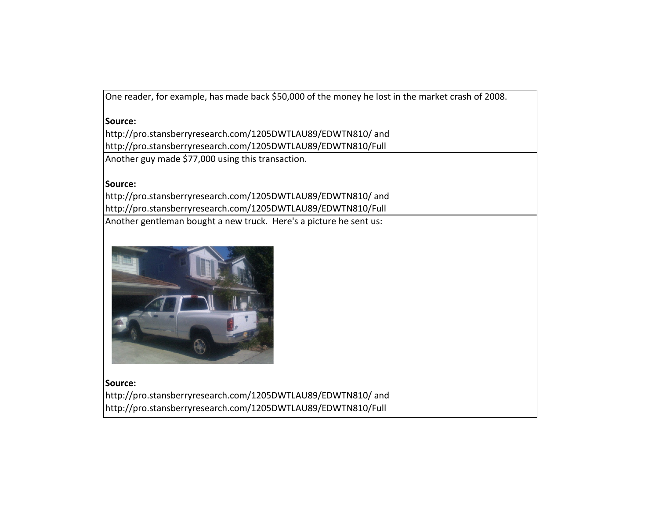One reader, for example, has made back \$50,000 of the money he lost in the market crash of 2008.

#### **Source:**

http://pro.stansberryresearch.com/1205DWTLAU89/EDWTN810/ and http://pro.stansberryresearch.com/1205DWTLAU89/EDWTN810/Full Another guy made \$77,000 using this transaction.

### **Source:**

http://pro.stansberryresearch.com/1205DWTLAU89/EDWTN810/ and http://pro.stansberryresearch.com/1205DWTLAU89/EDWTN810/Full

Another gentleman bought a new truck. Here's a picture he sent us:



**Source:** http://pro.stansberryresearch.com/1205DWTLAU89/EDWTN810/ and http://pro.stansberryresearch.com/1205DWTLAU89/EDWTN810/Full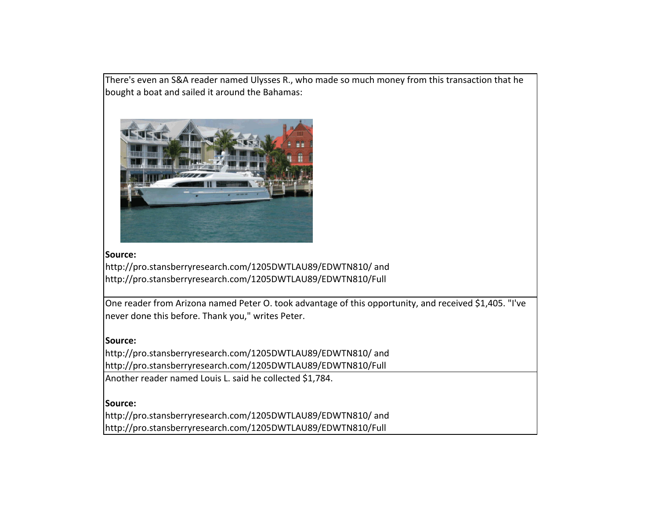There's even an S&A reader named Ulysses R., who made so much money from this transaction that he bought a boat and sailed it around the Bahamas:



### **Source:**

http://pro.stansberryresearch.com/1205DWTLAU89/EDWTN810/ and http://pro.stansberryresearch.com/1205DWTLAU89/EDWTN810/Full

One reader from Arizona named Peter O. took advantage of this opportunity, and received \$1,405. "I've never done this before. Thank you," writes Peter.

### **Source:**

http://pro.stansberryresearch.com/1205DWTLAU89/EDWTN810/ and http://pro.stansberryresearch.com/1205DWTLAU89/EDWTN810/Full Another reader named Louis L. said he collected \$1,784.

#### **Source:**

http://pro.stansberryresearch.com/1205DWTLAU89/EDWTN810/ and http://pro.stansberryresearch.com/1205DWTLAU89/EDWTN810/Full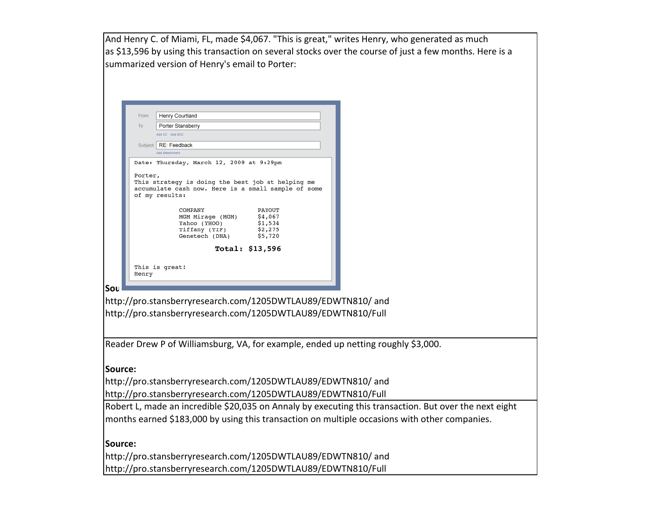And Henry C. of Miami, FL, made \$4,067. "This is great," writes Henry, who generated as much as \$13,596 by using this transaction on several stocks over the course of just a few months. Here is a summarized version of Henry's email to Porter: Henry Courtland From To: Porter Stansberry Add CC Add BCC Subject RE: Feedback **Add Attachment** Date: Thursday, March 12, 2009 at 9:29pm Porter. This strategy is doing the best job at helping me accumulate cash now. Here is a small sample of some of my results: COMPANY PAYOUT MGM Mirage (MGM) \$4,067 Yahoo (YHOO) \$1,534  $$1, 534$ <br> $$2, 275$ Tiffany (TIF) Genetech (DNA) \$5,720 Total: \$13,596 This is great! Henry **Source:** http://pro.stansberryresearch.com/1205DWTLAU89/EDWTN810/ and http://pro.stansberryresearch.com/1205DWTLAU89/EDWTN810/Full Reader Drew P of Williamsburg, VA, for example, ended up netting roughly \$3,000. **Source:** http://pro.stansberryresearch.com/1205DWTLAU89/EDWTN810/ and http://pro.stansberryresearch.com/1205DWTLAU89/EDWTN810/Full

Robert L, made an incredible \$20,035 on Annaly by executing this transaction. But over the next eight months earned \$183,000 by using this transaction on multiple occasions with other companies.

**Source:** http://pro.stansberryresearch.com/1205DWTLAU89/EDWTN810/ and http://pro.stansberryresearch.com/1205DWTLAU89/EDWTN810/Full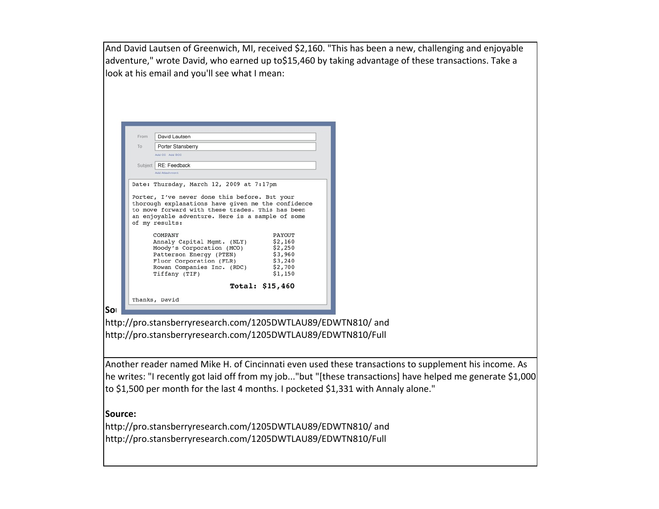And David Lautsen of Greenwich, MI, received \$2,160. "This has been a new, challenging and enjoyable adventure," wrote David, who earned up to\$15,460 by taking advantage of these transactions. Take a look at his email and you'll see what I mean:

| From | David Lautsen                                                      |                    |
|------|--------------------------------------------------------------------|--------------------|
| To   | Porter Stansberry                                                  |                    |
|      | Add CC Add BCC                                                     |                    |
|      | Subject   RE: Feedback                                             |                    |
|      | Add Attachment                                                     |                    |
|      | Date: Thursday, March 12, 2009 at 7:17pm                           |                    |
|      | to move forward with these trades. This has been                   |                    |
|      | an enjoyable adventure. Here is a sample of some<br>of my results: |                    |
|      | COMPANY                                                            | PAYOUT             |
|      | Annaly Capital Mgmt. (NLY)                                         | \$2,160            |
|      | Moody's Corporation (MCO)                                          | \$2,250            |
|      | Patterson Energy (PTEN)<br>Fluor Corporation (FLR)                 | \$3,960<br>\$3,240 |
|      | Rowan Companies Inc. (RDC) \$2,700                                 |                    |
|      | Tiffany (TIF)                                                      | \$1,150            |
|      |                                                                    | Total: $$15,460$   |

http://pro.stansberryresearch.com/1205DWTLAU89/EDWTN810/ and http://pro.stansberryresearch.com/1205DWTLAU89/EDWTN810/Full

Another reader named Mike H. of Cincinnati even used these transactions to supplement his income. As he writes: "I recently got laid off from my job..."but "[these transactions] have helped me generate \$1,000 to \$1,500 per month for the last 4 months. I pocketed \$1,331 with Annaly alone."

#### **Source:**

http://pro.stansberryresearch.com/1205DWTLAU89/EDWTN810/ and http://pro.stansberryresearch.com/1205DWTLAU89/EDWTN810/Full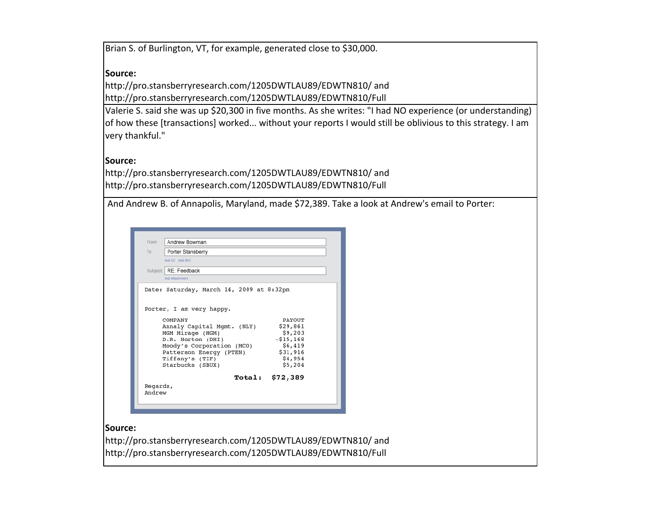Brian S. of Burlington, VT, for example, generated close to \$30,000.

### **Source:**

http://pro.stansberryresearch.com/1205DWTLAU89/EDWTN810/ and http://pro.stansberryresearch.com/1205DWTLAU89/EDWTN810/Full

Valerie S. said she was up \$20,300 in five months. As she writes: "I had NO experience (or understanding) of how these [transactions] worked... without your reports I would still be oblivious to this strategy. I am very thankful."

### **Source:**

http://pro.stansberryresearch.com/1205DWTLAU89/EDWTN810/ and http://pro.stansberryresearch.com/1205DWTLAU89/EDWTN810/Full

| And Andrew B. of Annapolis, Maryland, made \$72,389. Take a look at Andrew's email to Porter: |  |  |  |
|-----------------------------------------------------------------------------------------------|--|--|--|
|-----------------------------------------------------------------------------------------------|--|--|--|

| From     | Andrew Bowman                            |            |  |
|----------|------------------------------------------|------------|--|
| To       | Porter Stansberry                        |            |  |
|          | Add CC Add BCC                           |            |  |
|          | Subject   RE: Feedback                   |            |  |
|          | <b>Add Attachment</b>                    |            |  |
|          | Date: Saturday, March 14, 2009 at 8:32pm |            |  |
|          |                                          |            |  |
|          |                                          |            |  |
|          |                                          |            |  |
|          | Porter, I am very happy.                 |            |  |
|          | COMPANY                                  | PAYOUT     |  |
|          | Annaly Capital Mgmt. (NLY)               | \$29,861   |  |
|          | MGM Mirage (MGM)                         | \$9,203    |  |
|          | D.R. Horton (DHI)                        | $-515,168$ |  |
|          | Moody's Corporation (MCO)                | \$6,419    |  |
|          | Patterson Energy (PTEN)                  | \$31,916   |  |
|          | Tiffany's (TIF)                          | \$4,954    |  |
|          | Starbucks (SBUX)                         | \$5,204    |  |
|          | <b>Total:</b>                            | \$72,389   |  |
| Regards, |                                          |            |  |

#### **Source:**

http://pro.stansberryresearch.com/1205DWTLAU89/EDWTN810/ and http://pro.stansberryresearch.com/1205DWTLAU89/EDWTN810/Full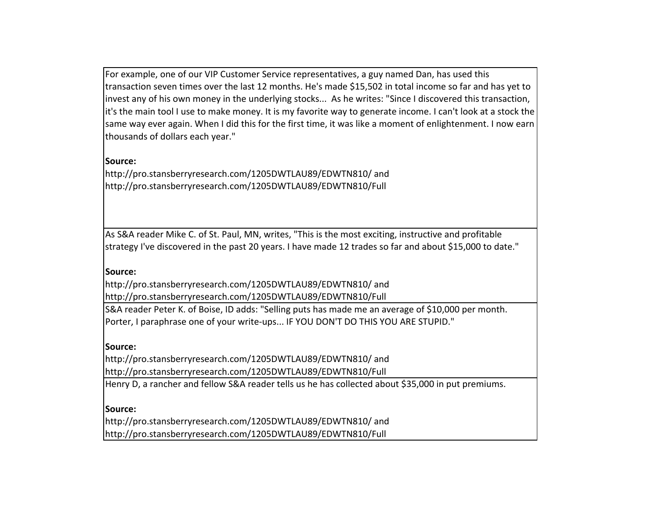For example, one of our VIP Customer Service representatives, a guy named Dan, has used this transaction seven times over the last 12 months. He's made \$15,502 in total income so far and has yet to invest any of his own money in the underlying stocks... As he writes: "Since I discovered this transaction, it's the main tool I use to make money. It is my favorite way to generate income. I can't look at a stock the same way ever again. When I did this for the first time, it was like a moment of enlightenment. I now earn thousands of dollars each year."

### **Source:**

http://pro.stansberryresearch.com/1205DWTLAU89/EDWTN810/ and http://pro.stansberryresearch.com/1205DWTLAU89/EDWTN810/Full

As S&A reader Mike C. of St. Paul, MN, writes, "This is the most exciting, instructive and profitable strategy I've discovered in the past 20 years. I have made 12 trades so far and about \$15,000 to date."

#### **Source:**

http://pro.stansberryresearch.com/1205DWTLAU89/EDWTN810/ and http://pro.stansberryresearch.com/1205DWTLAU89/EDWTN810/Full

S&A reader Peter K. of Boise, ID adds: "Selling puts has made me an average of \$10,000 per month. Porter, I paraphrase one of your write-ups... IF YOU DON'T DO THIS YOU ARE STUPID."

#### **Source:**

http://pro.stansberryresearch.com/1205DWTLAU89/EDWTN810/ and http://pro.stansberryresearch.com/1205DWTLAU89/EDWTN810/Full

Henry D, a rancher and fellow S&A reader tells us he has collected about \$35,000 in put premiums.

#### **Source:**

http://pro.stansberryresearch.com/1205DWTLAU89/EDWTN810/ and http://pro.stansberryresearch.com/1205DWTLAU89/EDWTN810/Full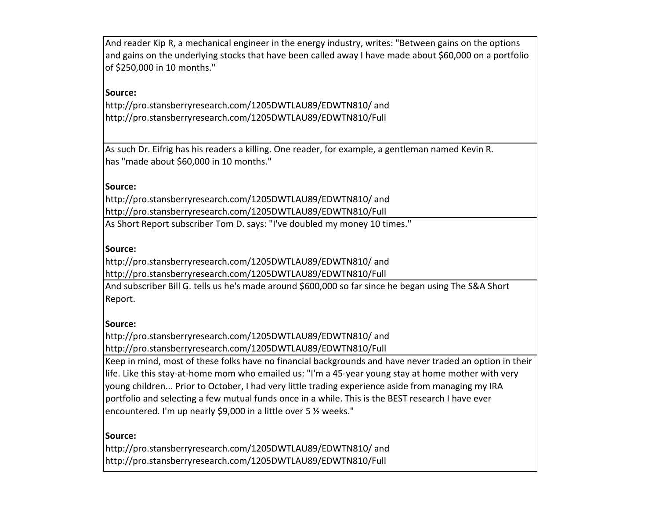And reader Kip R, a mechanical engineer in the energy industry, writes: "Between gains on the options and gains on the underlying stocks that have been called away I have made about \$60,000 on a portfolio of \$250,000 in 10 months."

# **Source:**

http://pro.stansberryresearch.com/1205DWTLAU89/EDWTN810/ and http://pro.stansberryresearch.com/1205DWTLAU89/EDWTN810/Full

As such Dr. Eifrig has his readers a killing. One reader, for example, a gentleman named Kevin R. has "made about \$60,000 in 10 months."

### **Source:**

http://pro.stansberryresearch.com/1205DWTLAU89/EDWTN810/ and http://pro.stansberryresearch.com/1205DWTLAU89/EDWTN810/Full

As Short Report subscriber Tom D. says: "I've doubled my money 10 times."

#### **Source:**

http://pro.stansberryresearch.com/1205DWTLAU89/EDWTN810/ and http://pro.stansberryresearch.com/1205DWTLAU89/EDWTN810/Full

And subscriber Bill G. tells us he's made around \$600,000 so far since he began using The S&A Short Report.

#### **Source:**

http://pro.stansberryresearch.com/1205DWTLAU89/EDWTN810/ and http://pro.stansberryresearch.com/1205DWTLAU89/EDWTN810/Full

Keep in mind, most of these folks have no financial backgrounds and have never traded an option in their life. Like this stay-at-home mom who emailed us: "I'm a 45-year young stay at home mother with very young children... Prior to October, I had very little trading experience aside from managing my IRA portfolio and selecting a few mutual funds once in a while. This is the BEST research I have ever encountered. I'm up nearly \$9,000 in a little over 5  $\frac{1}{2}$  weeks."

#### **Source:**

http://pro.stansberryresearch.com/1205DWTLAU89/EDWTN810/ and http://pro.stansberryresearch.com/1205DWTLAU89/EDWTN810/Full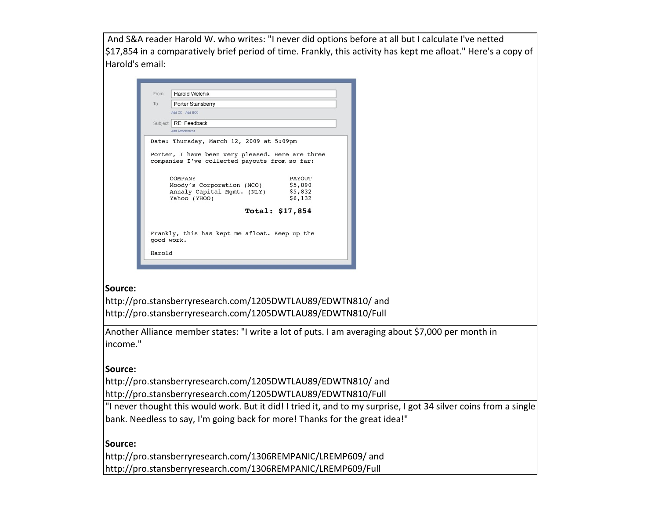And S&A reader Harold W. who writes: "I never did options before at all but I calculate I've netted \$17,854 in a comparatively brief period of time. Frankly, this activity has kept me afloat." Here's a copy of Harold's email:

| From | Harold Welchik                                                                                    |                 |
|------|---------------------------------------------------------------------------------------------------|-----------------|
| To   | Porter Stansberry                                                                                 |                 |
|      | Add CC Add RCC                                                                                    |                 |
|      | Subject   RE: Feedback                                                                            |                 |
|      | Add Attachment                                                                                    |                 |
|      | Date: Thursday, March 12, 2009 at 5:09pm                                                          |                 |
|      | Porter, I have been very pleased. Here are three<br>companies I've collected payouts from so far: |                 |
|      | COMPANY                                                                                           | PAYOUT          |
|      | Moody's Corporation (MCO)                                                                         | \$5,890         |
|      | Annaly Capital Mgmt. (NLY)                                                                        | \$5,832         |
|      | Yahoo (YHOO)                                                                                      | \$6,132         |
|      |                                                                                                   | Total: \$17,854 |
|      |                                                                                                   |                 |
|      | Frankly, this has kept me afloat. Keep up the                                                     |                 |
|      | good work.                                                                                        |                 |
|      |                                                                                                   |                 |

### **Source:**

http://pro.stansberryresearch.com/1205DWTLAU89/EDWTN810/ and http://pro.stansberryresearch.com/1205DWTLAU89/EDWTN810/Full

Another Alliance member states: "I write a lot of puts. I am averaging about \$7,000 per month in income." 

# **Source:**

http://pro.stansberryresearch.com/1205DWTLAU89/EDWTN810/ and http://pro.stansberryresearch.com/1205DWTLAU89/EDWTN810/Full

"I never thought this would work. But it did! I tried it, and to my surprise, I got 34 silver coins from a single bank. Needless to say, I'm going back for more! Thanks for the great idea!"

**Source:**

http://pro.stansberryresearch.com/1306REMPANIC/LREMP609/ and http://pro.stansberryresearch.com/1306REMPANIC/LREMP609/Full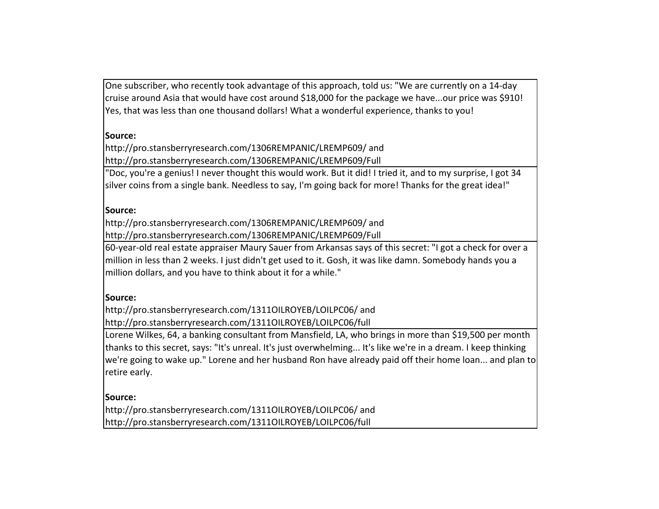One subscriber, who recently took advantage of this approach, told us: "We are currently on a 14-day cruise around Asia that would have cost around \$18,000 for the package we have...our price was \$910! Yes, that was less than one thousand dollars! What a wonderful experience, thanks to you!

# **Source:**

http://pro.stansberryresearch.com/1306REMPANIC/LREMP609/ and http://pro.stansberryresearch.com/1306REMPANIC/LREMP609/Full

"Doc, you're a genius! I never thought this would work. But it did! I tried it, and to my surprise, I got 34 silver coins from a single bank. Needless to say, I'm going back for more! Thanks for the great idea!"

### **Source:**

http://pro.stansberryresearch.com/1306REMPANIC/LREMP609/ and http://pro.stansberryresearch.com/1306REMPANIC/LREMP609/Full

60-year-old real estate appraiser Maury Sauer from Arkansas says of this secret: "I got a check for over a million in less than 2 weeks. I just didn't get used to it. Gosh, it was like damn. Somebody hands you a million dollars, and you have to think about it for a while."

### **Source:**

http://pro.stansberryresearch.com/1311OILROYEB/LOILPC06/ and http://pro.stansberryresearch.com/1311OILROYEB/LOILPC06/full

Lorene Wilkes, 64, a banking consultant from Mansfield, LA, who brings in more than \$19,500 per month thanks to this secret, says: "It's unreal. It's just overwhelming... It's like we're in a dream. I keep thinking we're going to wake up." Lorene and her husband Ron have already paid off their home loan... and plan to retire early.

**Source:** http://pro.stansberryresearch.com/1311OILROYEB/LOILPC06/ and http://pro.stansberryresearch.com/1311OILROYEB/LOILPC06/full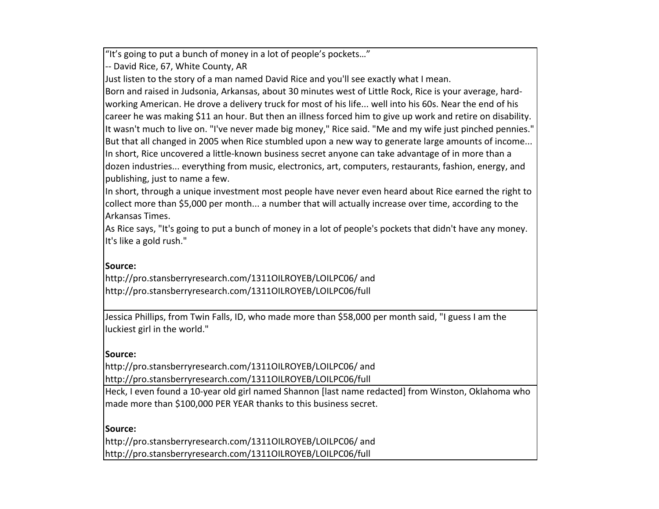"It's going to put a bunch of money in a lot of people's pockets..."

-- David Rice, 67, White County, AR

Just listen to the story of a man named David Rice and you'll see exactly what I mean.

Born and raised in Judsonia, Arkansas, about 30 minutes west of Little Rock, Rice is your average, hardworking American. He drove a delivery truck for most of his life... well into his 60s. Near the end of his career he was making \$11 an hour. But then an illness forced him to give up work and retire on disability. It wasn't much to live on. "I've never made big money," Rice said. "Me and my wife just pinched pennies." But that all changed in 2005 when Rice stumbled upon a new way to generate large amounts of income... In short, Rice uncovered a little-known business secret anyone can take advantage of in more than a dozen industries... everything from music, electronics, art, computers, restaurants, fashion, energy, and publishing, just to name a few.

In short, through a unique investment most people have never even heard about Rice earned the right to collect more than \$5,000 per month... a number that will actually increase over time, according to the Arkansas Times.

As Rice says, "It's going to put a bunch of money in a lot of people's pockets that didn't have any money. It's like a gold rush."

### **Source:**

http://pro.stansberryresearch.com/1311OILROYEB/LOILPC06/ and http://pro.stansberryresearch.com/1311OILROYEB/LOILPC06/full

Jessica Phillips, from Twin Falls, ID, who made more than \$58,000 per month said, "I guess I am the luckiest girl in the world."

#### **Source:**

http://pro.stansberryresearch.com/1311OILROYEB/LOILPC06/ and http://pro.stansberryresearch.com/1311OILROYEB/LOILPC06/full

Heck, I even found a 10-year old girl named Shannon [last name redacted] from Winston, Oklahoma who made more than \$100,000 PER YEAR thanks to this business secret.

#### **Source:**

http://pro.stansberryresearch.com/1311OILROYEB/LOILPC06/ and http://pro.stansberryresearch.com/1311OILROYEB/LOILPC06/full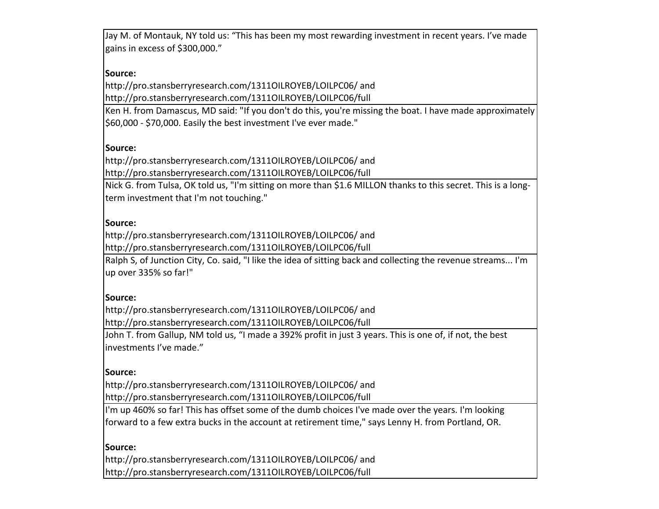Jay M. of Montauk, NY told us: "This has been my most rewarding investment in recent years. I've made gains in excess of \$300,000."

# **Source:**

http://pro.stansberryresearch.com/1311OILROYEB/LOILPC06/ and http://pro.stansberryresearch.com/1311OILROYEB/LOILPC06/full

Ken H. from Damascus, MD said: "If you don't do this, you're missing the boat. I have made approximately \$60,000 - \$70,000. Easily the best investment I've ever made."

### **Source:**

http://pro.stansberryresearch.com/1311OILROYEB/LOILPC06/ and http://pro.stansberryresearch.com/1311OILROYEB/LOILPC06/full

Nick G. from Tulsa, OK told us, "I'm sitting on more than \$1.6 MILLON thanks to this secret. This is a longterm investment that I'm not touching."

### **Source:**

http://pro.stansberryresearch.com/1311OILROYEB/LOILPC06/ and http://pro.stansberryresearch.com/1311OILROYEB/LOILPC06/full

Ralph S, of Junction City, Co. said, "I like the idea of sitting back and collecting the revenue streams... I'm up over 335% so far!"

### **Source:**

http://pro.stansberryresearch.com/1311OILROYEB/LOILPC06/ and http://pro.stansberryresearch.com/1311OILROYEB/LOILPC06/full

John T. from Gallup, NM told us, "I made a 392% profit in just 3 years. This is one of, if not, the best investments I've made."

### **Source:**

http://pro.stansberryresearch.com/1311OILROYEB/LOILPC06/ and http://pro.stansberryresearch.com/1311OILROYEB/LOILPC06/full

I'm up 460% so far! This has offset some of the dumb choices I've made over the years. I'm looking forward to a few extra bucks in the account at retirement time," says Lenny H. from Portland, OR.

### **Source:**

http://pro.stansberryresearch.com/1311OILROYEB/LOILPC06/ and http://pro.stansberryresearch.com/1311OILROYEB/LOILPC06/full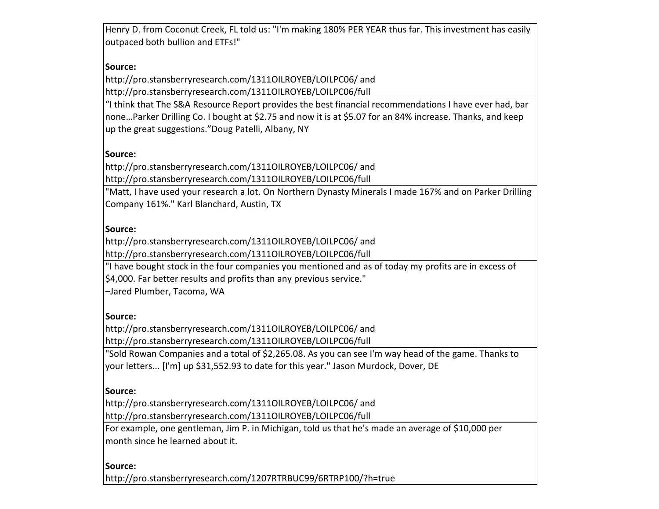Henry D. from Coconut Creek, FL told us: "I'm making 180% PER YEAR thus far. This investment has easily outpaced both bullion and ETFs!"

# **Source:**

http://pro.stansberryresearch.com/1311OILROYEB/LOILPC06/ and http://pro.stansberryresearch.com/1311OILROYEB/LOILPC06/full

"I think that The S&A Resource Report provides the best financial recommendations I have ever had, bar none...Parker Drilling Co. I bought at \$2.75 and now it is at \$5.07 for an 84% increase. Thanks, and keep up the great suggestions."Doug Patelli, Albany, NY

# **Source:**

http://pro.stansberryresearch.com/1311OILROYEB/LOILPC06/ and http://pro.stansberryresearch.com/1311OILROYEB/LOILPC06/full

"Matt, I have used your research a lot. On Northern Dynasty Minerals I made 167% and on Parker Drilling Company 161%." Karl Blanchard, Austin, TX

### **Source:**

http://pro.stansberryresearch.com/1311OILROYEB/LOILPC06/ and http://pro.stansberryresearch.com/1311OILROYEB/LOILPC06/full

"I have bought stock in the four companies you mentioned and as of today my profits are in excess of \$4,000. Far better results and profits than any previous service."

–Jared Plumber, Tacoma, WA

### **Source:**

http://pro.stansberryresearch.com/1311OILROYEB/LOILPC06/ and http://pro.stansberryresearch.com/1311OILROYEB/LOILPC06/full

"Sold Rowan Companies and a total of \$2,265.08. As you can see I'm way head of the game. Thanks to your letters... [I'm] up \$31,552.93 to date for this year." Jason Murdock, Dover, DE

### **Source:**

http://pro.stansberryresearch.com/1311OILROYEB/LOILPC06/ and http://pro.stansberryresearch.com/1311OILROYEB/LOILPC06/full

For example, one gentleman, Jim P. in Michigan, told us that he's made an average of \$10,000 per month since he learned about it.

#### **Source:**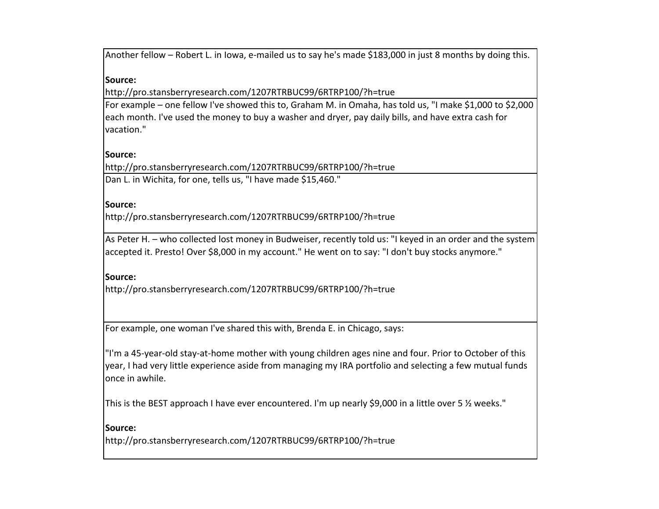Another fellow – Robert L. in Iowa, e-mailed us to say he's made \$183,000 in just 8 months by doing this.

### **Source:**

http://pro.stansberryresearch.com/1207RTRBUC99/6RTRP100/?h=true

For example – one fellow I've showed this to, Graham M. in Omaha, has told us, "I make \$1,000 to \$2,000 each month. I've used the money to buy a washer and dryer, pay daily bills, and have extra cash for vacation." 

#### **Source:**

http://pro.stansberryresearch.com/1207RTRBUC99/6RTRP100/?h=true Dan L. in Wichita, for one, tells us, "I have made \$15,460."

#### **Source:**

http://pro.stansberryresearch.com/1207RTRBUC99/6RTRP100/?h=true

As Peter H. - who collected lost money in Budweiser, recently told us: "I keyed in an order and the system accepted it. Presto! Over \$8,000 in my account." He went on to say: "I don't buy stocks anymore."

#### **Source:**

http://pro.stansberryresearch.com/1207RTRBUC99/6RTRP100/?h=true

For example, one woman I've shared this with, Brenda E. in Chicago, says:

"I'm a 45-year-old stay-at-home mother with young children ages nine and four. Prior to October of this year, I had very little experience aside from managing my IRA portfolio and selecting a few mutual funds once in awhile.

This is the BEST approach I have ever encountered. I'm up nearly \$9,000 in a little over 5 % weeks."

#### **Source:**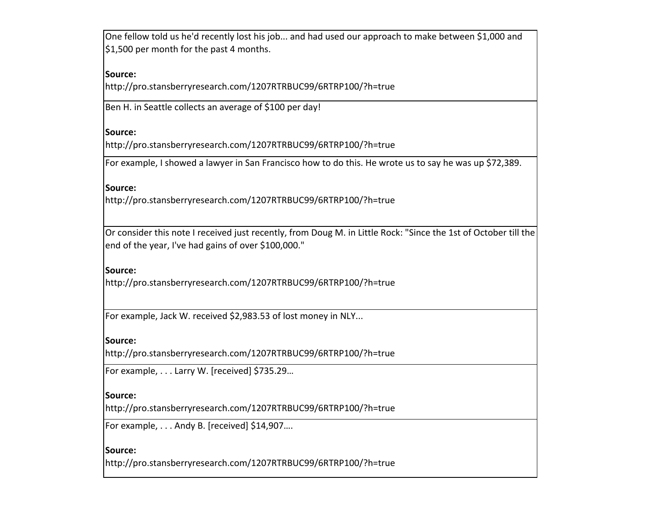One fellow told us he'd recently lost his job... and had used our approach to make between \$1,000 and \$1,500 per month for the past 4 months.

### **Source:**

http://pro.stansberryresearch.com/1207RTRBUC99/6RTRP100/?h=true

Ben H. in Seattle collects an average of \$100 per day!

### **Source:**

http://pro.stansberryresearch.com/1207RTRBUC99/6RTRP100/?h=true

For example, I showed a lawyer in San Francisco how to do this. He wrote us to say he was up \$72,389.

#### **Source:**

http://pro.stansberryresearch.com/1207RTRBUC99/6RTRP100/?h=true

Or consider this note I received just recently, from Doug M. in Little Rock: "Since the 1st of October till the end of the year, I've had gains of over \$100,000."

#### **Source:**

http://pro.stansberryresearch.com/1207RTRBUC99/6RTRP100/?h=true

For example, Jack W. received \$2,983.53 of lost money in NLY...

### **Source:**

http://pro.stansberryresearch.com/1207RTRBUC99/6RTRP100/?h=true

For example,  $\dots$  Larry W. [received] \$735.29...

#### **Source:**

http://pro.stansberryresearch.com/1207RTRBUC99/6RTRP100/?h=true

For example, . . . Andy B. [received] \$14,907....

### **Source:**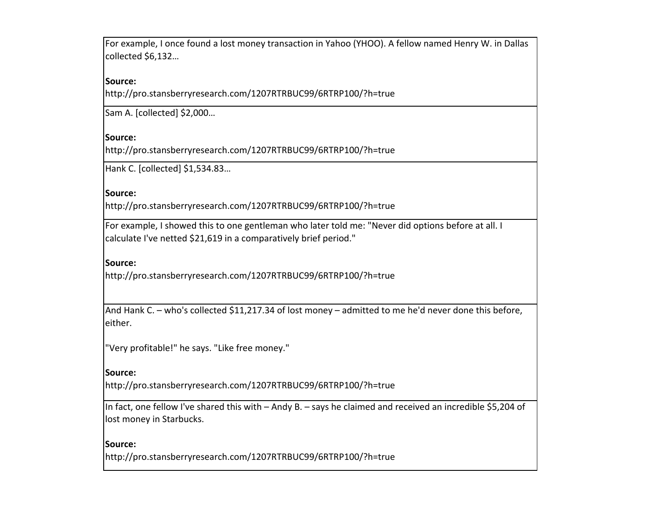For example, I once found a lost money transaction in Yahoo (YHOO). A fellow named Henry W. in Dallas collected \$6,132...

### **Source:**

http://pro.stansberryresearch.com/1207RTRBUC99/6RTRP100/?h=true

Sam A. [collected] \$2,000...

### **Source:**

http://pro.stansberryresearch.com/1207RTRBUC99/6RTRP100/?h=true

Hank C. [collected] \$1,534.83...

### **Source:**

http://pro.stansberryresearch.com/1207RTRBUC99/6RTRP100/?h=true

For example, I showed this to one gentleman who later told me: "Never did options before at all. I calculate I've netted \$21,619 in a comparatively brief period."

### **Source:**

http://pro.stansberryresearch.com/1207RTRBUC99/6RTRP100/?h=true

And Hank C. – who's collected \$11,217.34 of lost money – admitted to me he'd never done this before, either. 

"Very profitable!" he says. "Like free money."

#### **Source:**

http://pro.stansberryresearch.com/1207RTRBUC99/6RTRP100/?h=true

In fact, one fellow I've shared this with  $-$  Andy B.  $-$  says he claimed and received an incredible \$5,204 of lost money in Starbucks.

### **Source:**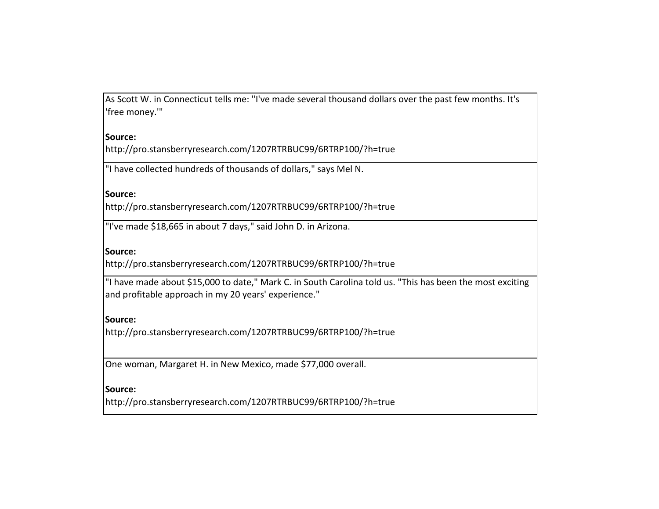As Scott W. in Connecticut tells me: "I've made several thousand dollars over the past few months. It's 'free money.'" 

#### **Source:**

http://pro.stansberryresearch.com/1207RTRBUC99/6RTRP100/?h=true

"I have collected hundreds of thousands of dollars," says Mel N.

### **Source:**

http://pro.stansberryresearch.com/1207RTRBUC99/6RTRP100/?h=true

"I've made \$18,665 in about 7 days," said John D. in Arizona.

#### **Source:**

http://pro.stansberryresearch.com/1207RTRBUC99/6RTRP100/?h=true

"I have made about \$15,000 to date," Mark C. in South Carolina told us. "This has been the most exciting and profitable approach in my 20 years' experience."

### **Source:**

http://pro.stansberryresearch.com/1207RTRBUC99/6RTRP100/?h=true

One woman, Margaret H. in New Mexico, made \$77,000 overall.

### **Source:**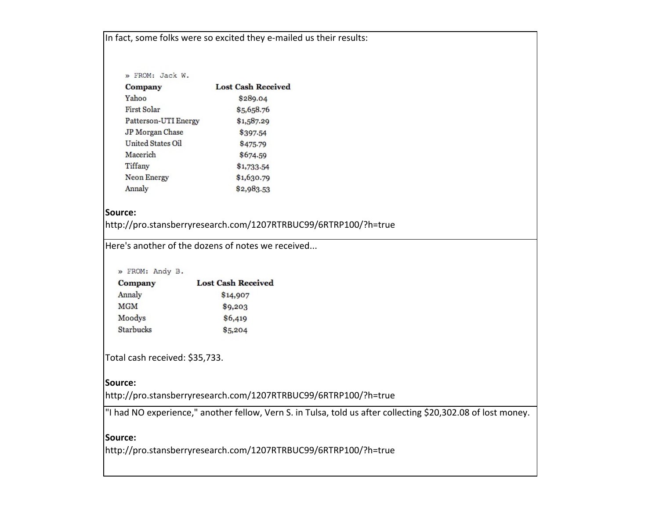In fact, some folks were so excited they e-mailed us their results:

| » FROM: Jack W.      |                           |
|----------------------|---------------------------|
| Company              | <b>Lost Cash Received</b> |
| Yahoo                | \$289.04                  |
| First Solar          | \$5,658.76                |
| Patterson-UTI Energy | \$1,587.29                |
| JP Morgan Chase      | \$397-54                  |
| United States Oil    | \$475.79                  |
| Macerich             | \$674.59                  |
| Tiffany              | \$1,733.54                |
| <b>Neon Energy</b>   | \$1,630.79                |
| Annaly               | \$2,983.53                |
|                      |                           |

#### **Source:**

http://pro.stansberryresearch.com/1207RTRBUC99/6RTRP100/?h=true

Here's another of the dozens of notes we received...

#### » FROM: Andy B.

| Company          | <b>Lost Cash Received</b> |  |
|------------------|---------------------------|--|
| Annaly           | \$14,907                  |  |
| <b>MGM</b>       | \$9,203                   |  |
| Moodys           | \$6,419                   |  |
| <b>Starbucks</b> | \$5,204                   |  |

Total cash received: \$35,733.

#### **Source:**

http://pro.stansberryresearch.com/1207RTRBUC99/6RTRP100/?h=true

"I had NO experience," another fellow, Vern S. in Tulsa, told us after collecting \$20,302.08 of lost money.

 

### **Source:**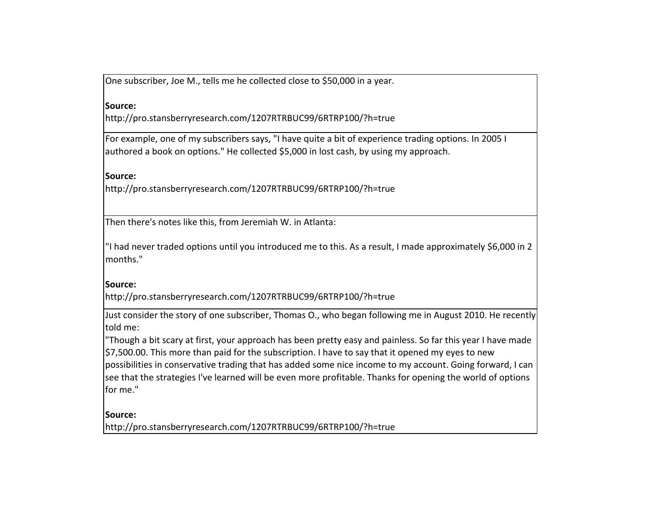One subscriber, Joe M., tells me he collected close to \$50,000 in a year.

### **Source:**

http://pro.stansberryresearch.com/1207RTRBUC99/6RTRP100/?h=true

For example, one of my subscribers says, "I have quite a bit of experience trading options. In 2005 I authored a book on options." He collected \$5,000 in lost cash, by using my approach.

### **Source:**

http://pro.stansberryresearch.com/1207RTRBUC99/6RTRP100/?h=true

Then there's notes like this, from Jeremiah W. in Atlanta:

"I had never traded options until you introduced me to this. As a result, I made approximately \$6,000 in 2 months." 

### **Source:**

http://pro.stansberryresearch.com/1207RTRBUC99/6RTRP100/?h=true

Just consider the story of one subscriber, Thomas O., who began following me in August 2010. He recently told me:

"Though a bit scary at first, your approach has been pretty easy and painless. So far this year I have made \$7,500.00. This more than paid for the subscription. I have to say that it opened my eyes to new possibilities in conservative trading that has added some nice income to my account. Going forward, I can see that the strategies I've learned will be even more profitable. Thanks for opening the world of options for me."

### **Source:**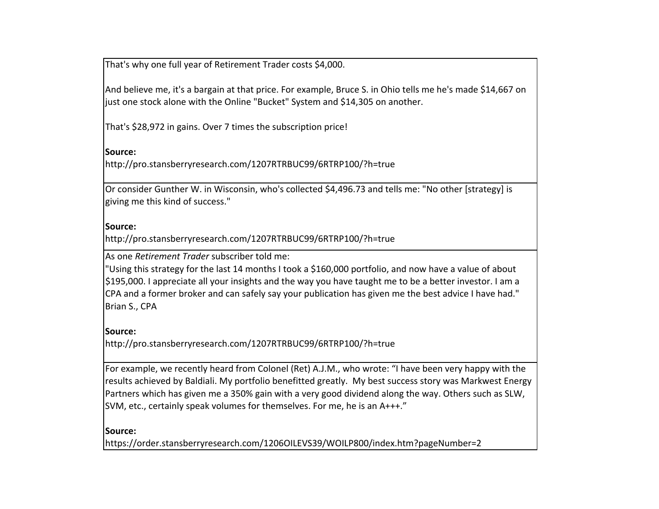That's why one full year of Retirement Trader costs \$4,000.

And believe me, it's a bargain at that price. For example, Bruce S. in Ohio tells me he's made \$14,667 on just one stock alone with the Online "Bucket" System and \$14,305 on another.

That's \$28,972 in gains. Over 7 times the subscription price!

**Source:**

http://pro.stansberryresearch.com/1207RTRBUC99/6RTRP100/?h=true

Or consider Gunther W. in Wisconsin, who's collected \$4,496.73 and tells me: "No other [strategy] is giving me this kind of success."

### **Source:**

http://pro.stansberryresearch.com/1207RTRBUC99/6RTRP100/?h=true

As one *Retirement Trader* subscriber told me:

"Using this strategy for the last 14 months I took a \$160,000 portfolio, and now have a value of about \$195,000. I appreciate all your insights and the way you have taught me to be a better investor. I am a CPA and a former broker and can safely say your publication has given me the best advice I have had." Brian S., CPA

# **Source:**

http://pro.stansberryresearch.com/1207RTRBUC99/6RTRP100/?h=true

For example, we recently heard from Colonel (Ret) A.J.M., who wrote: "I have been very happy with the results achieved by Baldiali. My portfolio benefitted greatly. My best success story was Markwest Energy Partners which has given me a 350% gain with a very good dividend along the way. Others such as SLW, SVM, etc., certainly speak volumes for themselves. For me, he is an  $A++$ ."

# **Source:**

https://order.stansberryresearch.com/1206OILEVS39/WOILP800/index.htm?pageNumber=2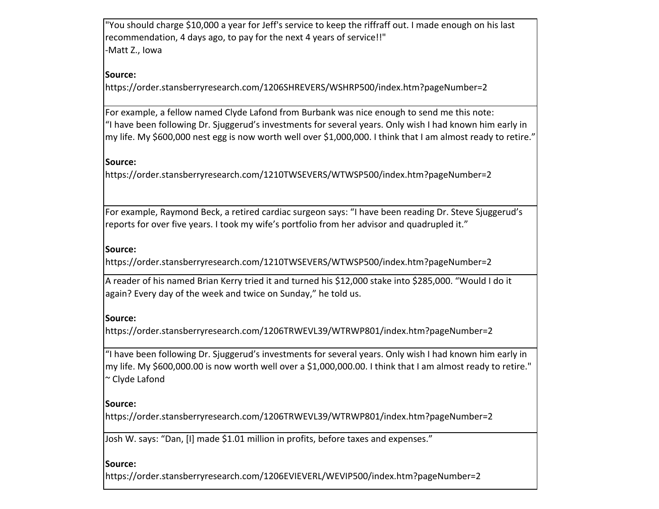"You should charge \$10,000 a year for Jeff's service to keep the riffraff out. I made enough on his last recommendation, 4 days ago, to pay for the next 4 years of service!!" -Matt Z., Iowa

# **Source:**

https://order.stansberryresearch.com/1206SHREVERS/WSHRP500/index.htm?pageNumber=2

For example, a fellow named Clyde Lafond from Burbank was nice enough to send me this note: "I have been following Dr. Sjuggerud's investments for several years. Only wish I had known him early in my life. My \$600,000 nest egg is now worth well over \$1,000,000. I think that I am almost ready to retire."

### **Source:**

https://order.stansberryresearch.com/1210TWSEVERS/WTWSP500/index.htm?pageNumber=2

For example, Raymond Beck, a retired cardiac surgeon says: "I have been reading Dr. Steve Sjuggerud's reports for over five years. I took my wife's portfolio from her advisor and quadrupled it."

### **Source:**

https://order.stansberryresearch.com/1210TWSEVERS/WTWSP500/index.htm?pageNumber=2

A reader of his named Brian Kerry tried it and turned his \$12,000 stake into \$285,000. "Would I do it again? Every day of the week and twice on Sunday," he told us.

### **Source:**

https://order.stansberryresearch.com/1206TRWEVL39/WTRWP801/index.htm?pageNumber=2

"I have been following Dr. Sjuggerud's investments for several years. Only wish I had known him early in my life. My \$600,000.00 is now worth well over a \$1,000,000.00. I think that I am almost ready to retire." ~ Clyde Lafond

### **Source:**

https://order.stansberryresearch.com/1206TRWEVL39/WTRWP801/index.htm?pageNumber=2

Josh W. says: "Dan, [I] made \$1.01 million in profits, before taxes and expenses."

### **Source:**

https://order.stansberryresearch.com/1206EVIEVERL/WEVIP500/index.htm?pageNumber=2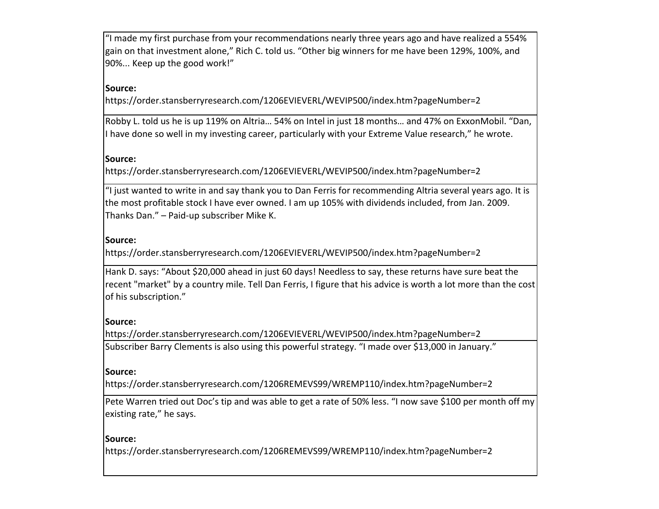"I made my first purchase from your recommendations nearly three years ago and have realized a 554% gain on that investment alone," Rich C. told us. "Other big winners for me have been 129%, 100%, and 90%... Keep up the good work!"

# **Source:**

https://order.stansberryresearch.com/1206EVIEVERL/WEVIP500/index.htm?pageNumber=2

Robby L. told us he is up 119% on Altria... 54% on Intel in just 18 months... and 47% on ExxonMobil. "Dan, I have done so well in my investing career, particularly with your Extreme Value research," he wrote.

#### **Source:**

https://order.stansberryresearch.com/1206EVIEVERL/WEVIP500/index.htm?pageNumber=2

"I just wanted to write in and say thank you to Dan Ferris for recommending Altria several years ago. It is the most profitable stock I have ever owned. I am up 105% with dividends included, from Jan. 2009. Thanks Dan."  $-$  Paid-up subscriber Mike K.

### **Source:**

https://order.stansberryresearch.com/1206EVIEVERL/WEVIP500/index.htm?pageNumber=2

Hank D. says: "About \$20,000 ahead in just 60 days! Needless to say, these returns have sure beat the recent "market" by a country mile. Tell Dan Ferris, I figure that his advice is worth a lot more than the cost of his subscription."

#### **Source:**

https://order.stansberryresearch.com/1206EVIEVERL/WEVIP500/index.htm?pageNumber=2 Subscriber Barry Clements is also using this powerful strategy. "I made over \$13,000 in January."

#### **Source:**

https://order.stansberryresearch.com/1206REMEVS99/WREMP110/index.htm?pageNumber=2

Pete Warren tried out Doc's tip and was able to get a rate of 50% less. "I now save \$100 per month off my existing rate," he says.

#### **Source:**

https://order.stansberryresearch.com/1206REMEVS99/WREMP110/index.htm?pageNumber=2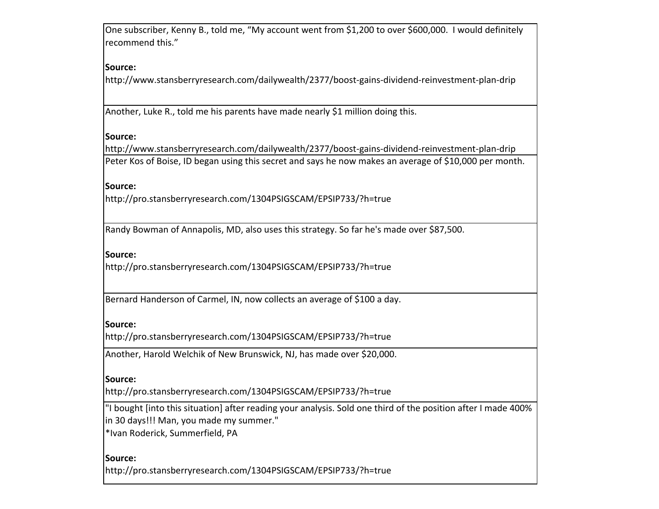One subscriber, Kenny B., told me, "My account went from \$1,200 to over \$600,000. I would definitely recommend this."

# **Source:**

http://www.stansberryresearch.com/dailywealth/2377/boost-gains-dividend-reinvestment-plan-drip

Another, Luke R., told me his parents have made nearly \$1 million doing this.

### **Source:**

http://www.stansberryresearch.com/dailywealth/2377/boost-gains-dividend-reinvestment-plan-drip Peter Kos of Boise, ID began using this secret and says he now makes an average of \$10,000 per month.

#### **Source:**

http://pro.stansberryresearch.com/1304PSIGSCAM/EPSIP733/?h=true

Randy Bowman of Annapolis, MD, also uses this strategy. So far he's made over \$87,500.

### **Source:**

http://pro.stansberryresearch.com/1304PSIGSCAM/EPSIP733/?h=true

Bernard Handerson of Carmel, IN, now collects an average of \$100 a day.

#### **Source:**

http://pro.stansberryresearch.com/1304PSIGSCAM/EPSIP733/?h=true

Another, Harold Welchik of New Brunswick, NJ, has made over \$20,000.

#### **Source:**

http://pro.stansberryresearch.com/1304PSIGSCAM/EPSIP733/?h=true

"I bought [into this situation] after reading your analysis. Sold one third of the position after I made 400% in 30 days!!! Man, you made my summer."

\*Ivan Roderick, Summerfield, PA

### **Source:**

http://pro.stansberryresearch.com/1304PSIGSCAM/EPSIP733/?h=true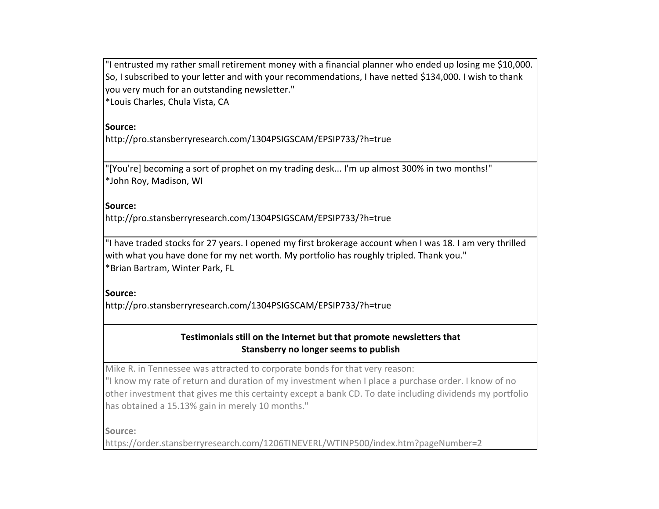"I entrusted my rather small retirement money with a financial planner who ended up losing me \$10,000. So, I subscribed to your letter and with your recommendations, I have netted \$134,000. I wish to thank you very much for an outstanding newsletter."

\*Louis Charles, Chula Vista, CA

**Source:**

http://pro.stansberryresearch.com/1304PSIGSCAM/EPSIP733/?h=true

"[You're] becoming a sort of prophet on my trading desk... I'm up almost 300% in two months!" \*John Roy, Madison, WI

**Source:**

http://pro.stansberryresearch.com/1304PSIGSCAM/EPSIP733/?h=true

"I have traded stocks for 27 years. I opened my first brokerage account when I was 18. I am very thrilled with what you have done for my net worth. My portfolio has roughly tripled. Thank you." \*Brian Bartram, Winter Park, FL

**Source:**

http://pro.stansberryresearch.com/1304PSIGSCAM/EPSIP733/?h=true

# Testimonials still on the Internet but that promote newsletters that **Stansberry no longer seems to publish**

Mike R. in Tennessee was attracted to corporate bonds for that very reason:

"I know my rate of return and duration of my investment when I place a purchase order. I know of no other investment that gives me this certainty except a bank CD. To date including dividends my portfolio has obtained a 15.13% gain in merely 10 months."

**Source:**

https://order.stansberryresearch.com/1206TINEVERL/WTINP500/index.htm?pageNumber=2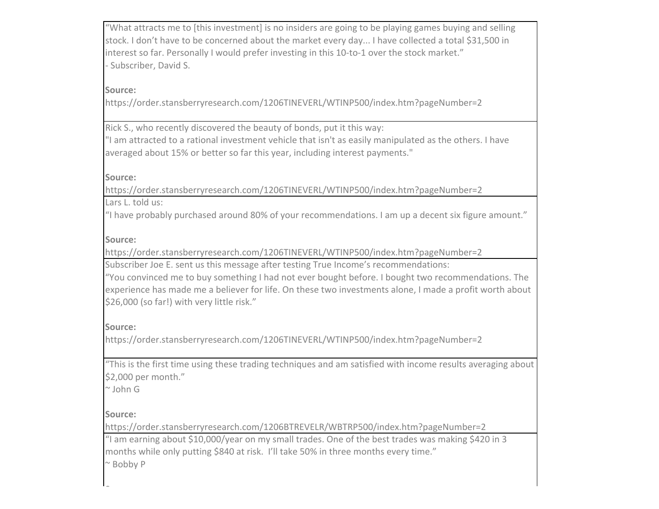"What attracts me to [this investment] is no insiders are going to be playing games buying and selling stock. I don't have to be concerned about the market every day... I have collected a total \$31,500 in interest so far. Personally I would prefer investing in this 10-to-1 over the stock market." - Subscriber, David S.

# **Source:**

https://order.stansberryresearch.com/1206TINEVERL/WTINP500/index.htm?pageNumber=2

Rick S., who recently discovered the beauty of bonds, put it this way:

"I am attracted to a rational investment vehicle that isn't as easily manipulated as the others. I have averaged about 15% or better so far this year, including interest payments."

### **Source:**

https://order.stansberryresearch.com/1206TINEVERL/WTINP500/index.htm?pageNumber=2 Lars L. told us:

"I have probably purchased around 80% of your recommendations. I am up a decent six figure amount."

# **Source:**

https://order.stansberryresearch.com/1206TINEVERL/WTINP500/index.htm?pageNumber=2

Subscriber Joe E. sent us this message after testing True Income's recommendations:

"You convinced me to buy something I had not ever bought before. I bought two recommendations. The experience has made me a believer for life. On these two investments alone, I made a profit worth about \$26,000 (so far!) with very little risk."

# **Source:**

https://order.stansberryresearch.com/1206TINEVERL/WTINP500/index.htm?pageNumber=2

"This is the first time using these trading techniques and am satisfied with income results averaging about \$2,000 per month."

 $\sim$  John G

# **Source:**

**Source:**

https://order.stansberryresearch.com/1206BTREVELR/WBTRP500/index.htm?pageNumber=2

"I am earning about \$10,000/year on my small trades. One of the best trades was making \$420 in 3 months while only putting \$840 at risk. I'll take 50% in three months every time."  $~\sim$  Bobby P